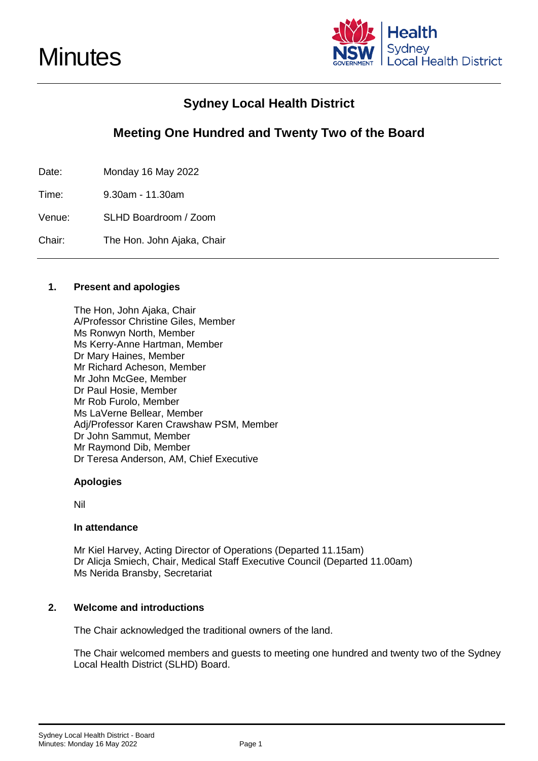

# **Sydney Local Health District**

# **Meeting One Hundred and Twenty Two of the Board**

Date: Monday 16 May 2022

Time: 9.30am - 11.30am

Venue: SLHD Boardroom / Zoom

Chair: The Hon. John Ajaka, Chair

# **1. Present and apologies**

The Hon, John Ajaka, Chair A/Professor Christine Giles, Member Ms Ronwyn North, Member Ms Kerry-Anne Hartman, Member Dr Mary Haines, Member Mr Richard Acheson, Member Mr John McGee, Member Dr Paul Hosie, Member Mr Rob Furolo, Member Ms LaVerne Bellear, Member Adj/Professor Karen Crawshaw PSM, Member Dr John Sammut, Member Mr Raymond Dib, Member Dr Teresa Anderson, AM, Chief Executive

# **Apologies**

Nil

# **In attendance**

Mr Kiel Harvey, Acting Director of Operations (Departed 11.15am) Dr Alicja Smiech, Chair, Medical Staff Executive Council (Departed 11.00am) Ms Nerida Bransby, Secretariat

# **2. Welcome and introductions**

The Chair acknowledged the traditional owners of the land.

The Chair welcomed members and guests to meeting one hundred and twenty two of the Sydney Local Health District (SLHD) Board.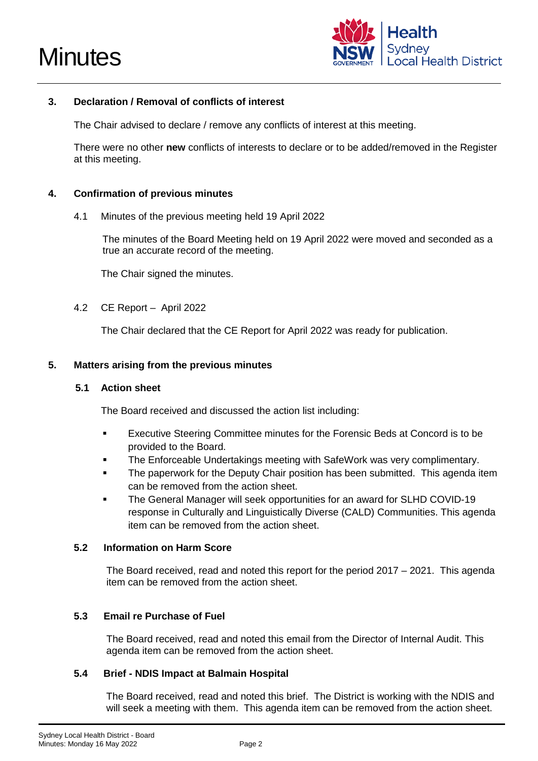



# **3. Declaration / Removal of conflicts of interest**

The Chair advised to declare / remove any conflicts of interest at this meeting.

There were no other **new** conflicts of interests to declare or to be added/removed in the Register at this meeting.

#### **4. Confirmation of previous minutes**

4.1 Minutes of the previous meeting held 19 April 2022

The minutes of the Board Meeting held on 19 April 2022 were moved and seconded as a true an accurate record of the meeting.

The Chair signed the minutes.

4.2 CE Report – April 2022

The Chair declared that the CE Report for April 2022 was ready for publication.

#### **5. Matters arising from the previous minutes**

#### **5.1 Action sheet**

The Board received and discussed the action list including:

- Executive Steering Committee minutes for the Forensic Beds at Concord is to be provided to the Board.
- The Enforceable Undertakings meeting with SafeWork was very complimentary.
- The paperwork for the Deputy Chair position has been submitted. This agenda item can be removed from the action sheet.
- The General Manager will seek opportunities for an award for SLHD COVID-19 response in Culturally and Linguistically Diverse (CALD) Communities. This agenda item can be removed from the action sheet.

# **5.2 Information on Harm Score**

The Board received, read and noted this report for the period 2017 – 2021. This agenda item can be removed from the action sheet.

# **5.3 Email re Purchase of Fuel**

The Board received, read and noted this email from the Director of Internal Audit. This agenda item can be removed from the action sheet.

#### **5.4 Brief - NDIS Impact at Balmain Hospital**

The Board received, read and noted this brief. The District is working with the NDIS and will seek a meeting with them. This agenda item can be removed from the action sheet.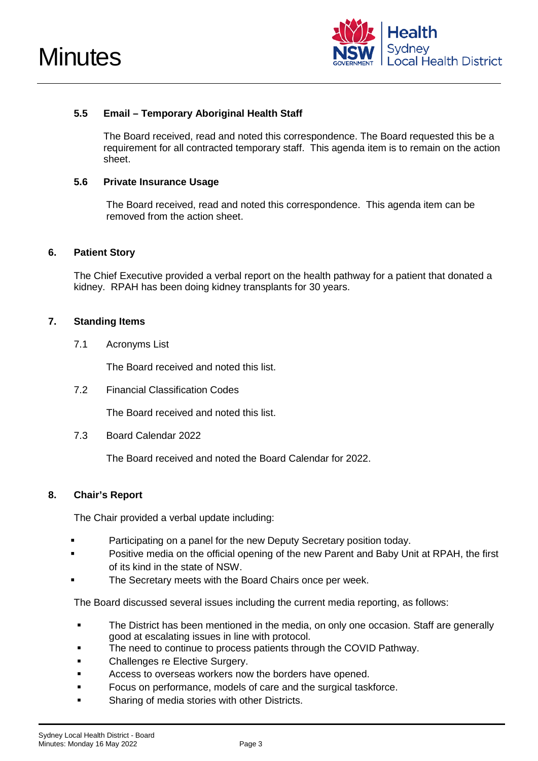



# **5.5 Email – Temporary Aboriginal Health Staff**

The Board received, read and noted this correspondence. The Board requested this be a requirement for all contracted temporary staff. This agenda item is to remain on the action sheet.

#### **5.6 Private Insurance Usage**

The Board received, read and noted this correspondence. This agenda item can be removed from the action sheet.

#### **6. Patient Story**

The Chief Executive provided a verbal report on the health pathway for a patient that donated a kidney. RPAH has been doing kidney transplants for 30 years.

#### **7. Standing Items**

7.1 Acronyms List

The Board received and noted this list.

7.2 Financial Classification Codes

The Board received and noted this list.

7.3 Board Calendar 2022

The Board received and noted the Board Calendar for 2022.

# **8. Chair's Report**

The Chair provided a verbal update including:

- Participating on a panel for the new Deputy Secretary position today.
- Positive media on the official opening of the new Parent and Baby Unit at RPAH, the first of its kind in the state of NSW.
- The Secretary meets with the Board Chairs once per week.

The Board discussed several issues including the current media reporting, as follows:

- **The District has been mentioned in the media, on only one occasion. Staff are generally** good at escalating issues in line with protocol.
- The need to continue to process patients through the COVID Pathway.
- **Example 1** Challenges re Elective Surgery.
- **EXECCESS TO OVERSEAS WORKERS NOW the borders have opened.**
- **Focus on performance, models of care and the surgical taskforce.**
- Sharing of media stories with other Districts.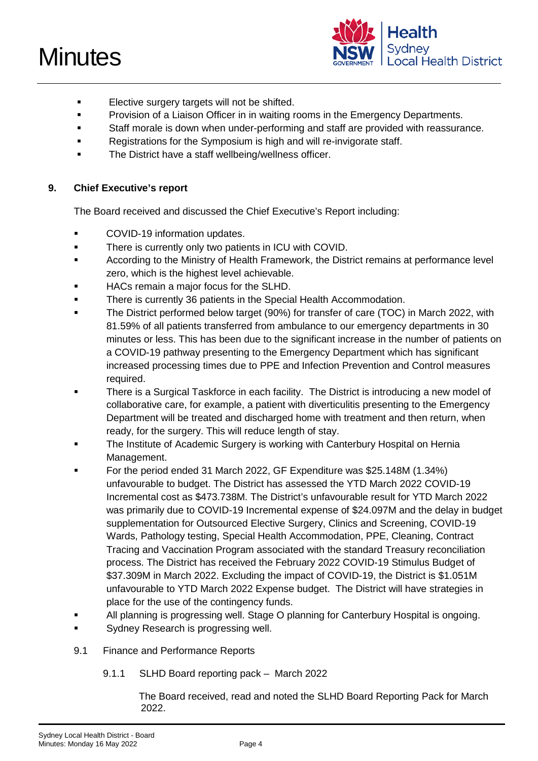# **Minutes**



- **Elective surgery targets will not be shifted.**
- Provision of a Liaison Officer in in waiting rooms in the Emergency Departments.
- Staff morale is down when under-performing and staff are provided with reassurance.
- Registrations for the Symposium is high and will re-invigorate staff.
- **The District have a staff wellbeing/wellness officer.**

# **9. Chief Executive's report**

The Board received and discussed the Chief Executive's Report including:

- **COVID-19 information updates.**
- **There is currently only two patients in ICU with COVID.**
- According to the Ministry of Health Framework, the District remains at performance level zero, which is the highest level achievable.
- **HACs remain a major focus for the SLHD.**
- **There is currently 36 patients in the Special Health Accommodation.**
- The District performed below target (90%) for transfer of care (TOC) in March 2022, with 81.59% of all patients transferred from ambulance to our emergency departments in 30 minutes or less. This has been due to the significant increase in the number of patients on a COVID-19 pathway presenting to the Emergency Department which has significant increased processing times due to PPE and Infection Prevention and Control measures required.
- There is a Surgical Taskforce in each facility. The District is introducing a new model of collaborative care, for example, a patient with diverticulitis presenting to the Emergency Department will be treated and discharged home with treatment and then return, when ready, for the surgery. This will reduce length of stay.
- The Institute of Academic Surgery is working with Canterbury Hospital on Hernia Management.
- For the period ended 31 March 2022, GF Expenditure was \$25.148M (1.34%) unfavourable to budget. The District has assessed the YTD March 2022 COVID-19 Incremental cost as \$473.738M. The District's unfavourable result for YTD March 2022 was primarily due to COVID-19 Incremental expense of \$24.097M and the delay in budget supplementation for Outsourced Elective Surgery, Clinics and Screening, COVID-19 Wards, Pathology testing, Special Health Accommodation, PPE, Cleaning, Contract Tracing and Vaccination Program associated with the standard Treasury reconciliation process. The District has received the February 2022 COVID-19 Stimulus Budget of \$37.309M in March 2022. Excluding the impact of COVID-19, the District is \$1.051M unfavourable to YTD March 2022 Expense budget. The District will have strategies in place for the use of the contingency funds.
- All planning is progressing well. Stage O planning for Canterbury Hospital is ongoing.
- **Sydney Research is progressing well.**
- 9.1 Finance and Performance Reports
	- 9.1.1 SLHD Board reporting pack March 2022

The Board received, read and noted the SLHD Board Reporting Pack for March 2022.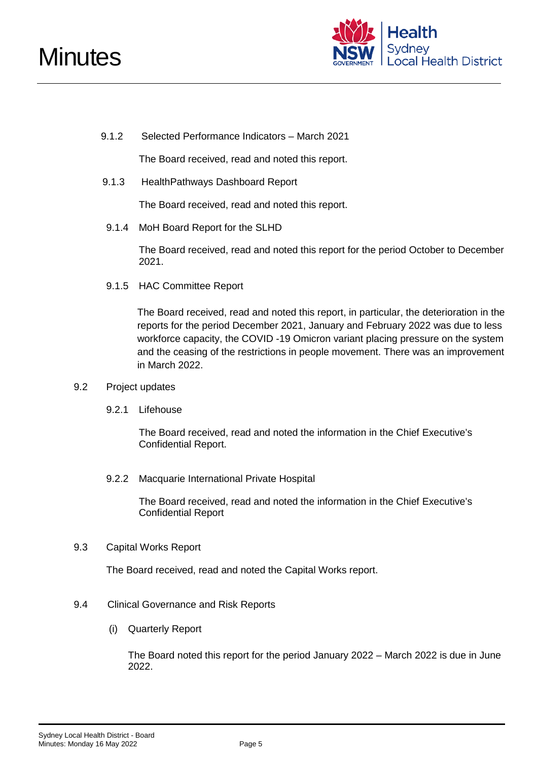

9.1.2 Selected Performance Indicators – March 2021

The Board received, read and noted this report.

9.1.3 HealthPathways Dashboard Report

The Board received, read and noted this report.

9.1.4 MoH Board Report for the SLHD

The Board received, read and noted this report for the period October to December 2021.

9.1.5 HAC Committee Report

The Board received, read and noted this report, in particular, the deterioration in the reports for the period December 2021, January and February 2022 was due to less workforce capacity, the COVID -19 Omicron variant placing pressure on the system and the ceasing of the restrictions in people movement. There was an improvement in March 2022.

- 9.2 Project updates
	- 9.2.1 Lifehouse

The Board received, read and noted the information in the Chief Executive's Confidential Report.

9.2.2 Macquarie International Private Hospital

The Board received, read and noted the information in the Chief Executive's Confidential Report

9.3 Capital Works Report

The Board received, read and noted the Capital Works report.

- 9.4 Clinical Governance and Risk Reports
	- (i) Quarterly Report

The Board noted this report for the period January 2022 – March 2022 is due in June 2022.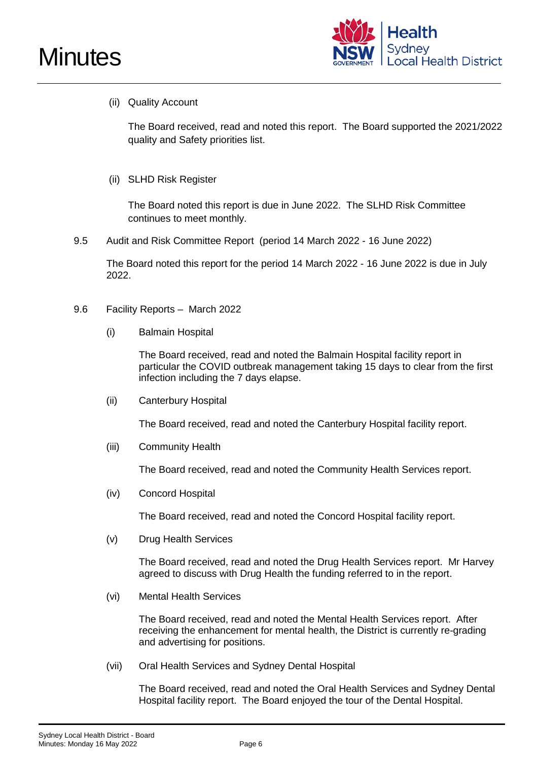



# (ii) Quality Account

The Board received, read and noted this report. The Board supported the 2021/2022 quality and Safety priorities list.

(ii) SLHD Risk Register

The Board noted this report is due in June 2022. The SLHD Risk Committee continues to meet monthly.

9.5 Audit and Risk Committee Report (period 14 March 2022 - 16 June 2022)

The Board noted this report for the period 14 March 2022 - 16 June 2022 is due in July 2022.

- 9.6 Facility Reports March 2022
	- (i) Balmain Hospital

The Board received, read and noted the Balmain Hospital facility report in particular the COVID outbreak management taking 15 days to clear from the first infection including the 7 days elapse.

(ii) Canterbury Hospital

The Board received, read and noted the Canterbury Hospital facility report.

(iii) Community Health

The Board received, read and noted the Community Health Services report.

(iv) Concord Hospital

The Board received, read and noted the Concord Hospital facility report.

(v) Drug Health Services

The Board received, read and noted the Drug Health Services report. Mr Harvey agreed to discuss with Drug Health the funding referred to in the report.

(vi) Mental Health Services

The Board received, read and noted the Mental Health Services report. After receiving the enhancement for mental health, the District is currently re-grading and advertising for positions.

(vii) Oral Health Services and Sydney Dental Hospital

The Board received, read and noted the Oral Health Services and Sydney Dental Hospital facility report. The Board enjoyed the tour of the Dental Hospital.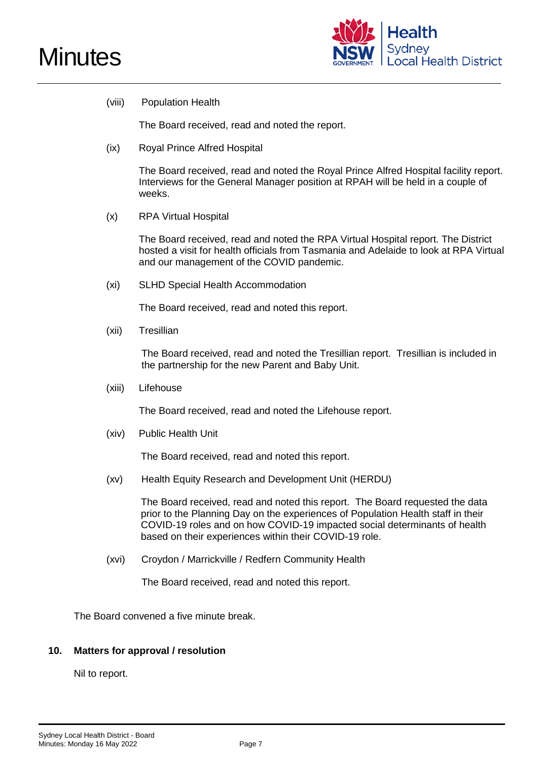



(viii) Population Health

The Board received, read and noted the report.

(ix) Royal Prince Alfred Hospital

The Board received, read and noted the Royal Prince Alfred Hospital facility report. Interviews for the General Manager position at RPAH will be held in a couple of weeks.

(x) RPA Virtual Hospital

The Board received, read and noted the RPA Virtual Hospital report. The District hosted a visit for health officials from Tasmania and Adelaide to look at RPA Virtual and our management of the COVID pandemic.

(xi) SLHD Special Health Accommodation

The Board received, read and noted this report.

(xii) Tresillian

The Board received, read and noted the Tresillian report. Tresillian is included in the partnership for the new Parent and Baby Unit.

(xiii) Lifehouse

The Board received, read and noted the Lifehouse report.

(xiv) Public Health Unit

The Board received, read and noted this report.

(xv) Health Equity Research and Development Unit (HERDU)

The Board received, read and noted this report. The Board requested the data prior to the Planning Day on the experiences of Population Health staff in their COVID-19 roles and on how COVID-19 impacted social determinants of health based on their experiences within their COVID-19 role.

(xvi) Croydon / Marrickville / Redfern Community Health

The Board received, read and noted this report.

The Board convened a five minute break.

# **10. Matters for approval / resolution**

Nil to report.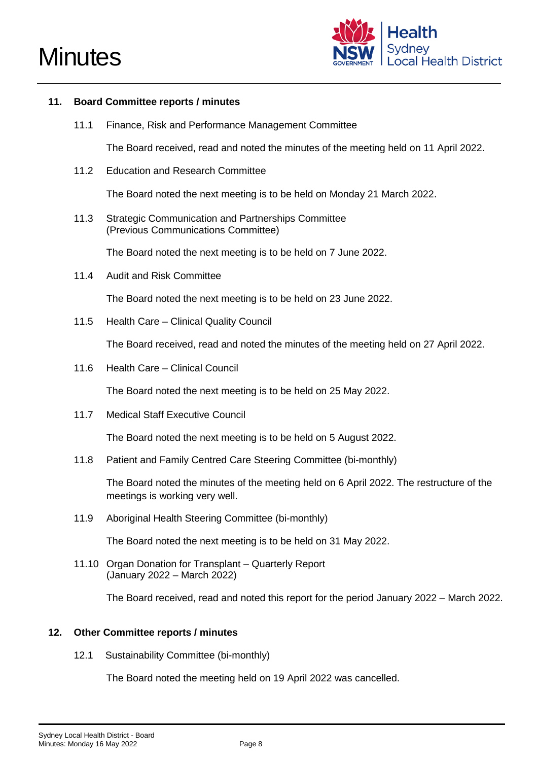



#### **11. Board Committee reports / minutes**

11.1 Finance, Risk and Performance Management Committee

The Board received, read and noted the minutes of the meeting held on 11 April 2022.

11.2 Education and Research Committee

The Board noted the next meeting is to be held on Monday 21 March 2022.

11.3 Strategic Communication and Partnerships Committee (Previous Communications Committee)

The Board noted the next meeting is to be held on 7 June 2022.

11.4 Audit and Risk Committee

The Board noted the next meeting is to be held on 23 June 2022.

11.5 Health Care – Clinical Quality Council

The Board received, read and noted the minutes of the meeting held on 27 April 2022.

11.6 Health Care – Clinical Council

The Board noted the next meeting is to be held on 25 May 2022.

11.7 Medical Staff Executive Council

The Board noted the next meeting is to be held on 5 August 2022.

11.8 Patient and Family Centred Care Steering Committee (bi-monthly)

The Board noted the minutes of the meeting held on 6 April 2022. The restructure of the meetings is working very well.

11.9 Aboriginal Health Steering Committee (bi-monthly)

The Board noted the next meeting is to be held on 31 May 2022.

11.10 Organ Donation for Transplant – Quarterly Report (January 2022 – March 2022)

The Board received, read and noted this report for the period January 2022 – March 2022.

#### **12. Other Committee reports / minutes**

12.1 Sustainability Committee (bi-monthly)

The Board noted the meeting held on 19 April 2022 was cancelled.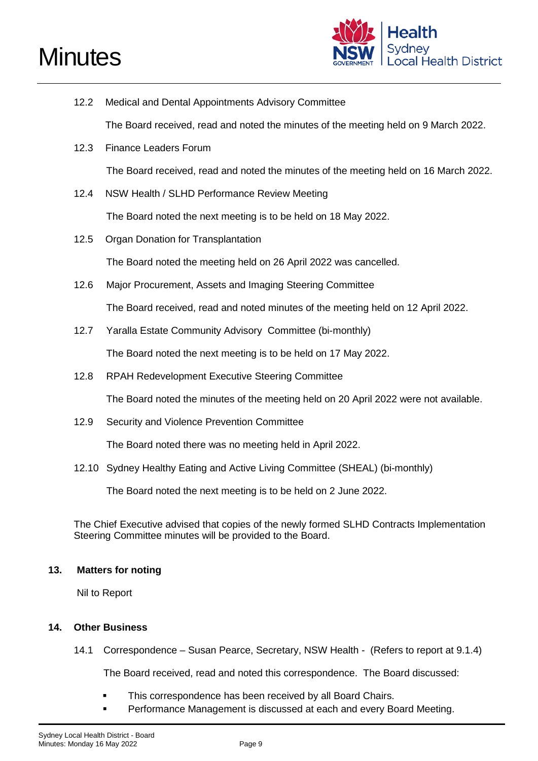# **Minutes**



- 12.2 Medical and Dental Appointments Advisory Committee The Board received, read and noted the minutes of the meeting held on 9 March 2022. 12.3 Finance Leaders Forum The Board received, read and noted the minutes of the meeting held on 16 March 2022. 12.4 NSW Health / SLHD Performance Review Meeting The Board noted the next meeting is to be held on 18 May 2022. 12.5 Organ Donation for Transplantation The Board noted the meeting held on 26 April 2022 was cancelled. 12.6 Major Procurement, Assets and Imaging Steering Committee The Board received, read and noted minutes of the meeting held on 12 April 2022. 12.7 Yaralla Estate Community Advisory Committee (bi-monthly) The Board noted the next meeting is to be held on 17 May 2022.
- 12.8 RPAH Redevelopment Executive Steering Committee

The Board noted the minutes of the meeting held on 20 April 2022 were not available.

12.9 Security and Violence Prevention Committee

The Board noted there was no meeting held in April 2022.

12.10 Sydney Healthy Eating and Active Living Committee (SHEAL) (bi-monthly)

The Board noted the next meeting is to be held on 2 June 2022.

The Chief Executive advised that copies of the newly formed SLHD Contracts Implementation Steering Committee minutes will be provided to the Board.

# **13. Matters for noting**

Nil to Report

# **14. Other Business**

14.1 Correspondence – Susan Pearce, Secretary, NSW Health - (Refers to report at 9.1.4)

The Board received, read and noted this correspondence. The Board discussed:

- **This correspondence has been received by all Board Chairs.**
- Performance Management is discussed at each and every Board Meeting.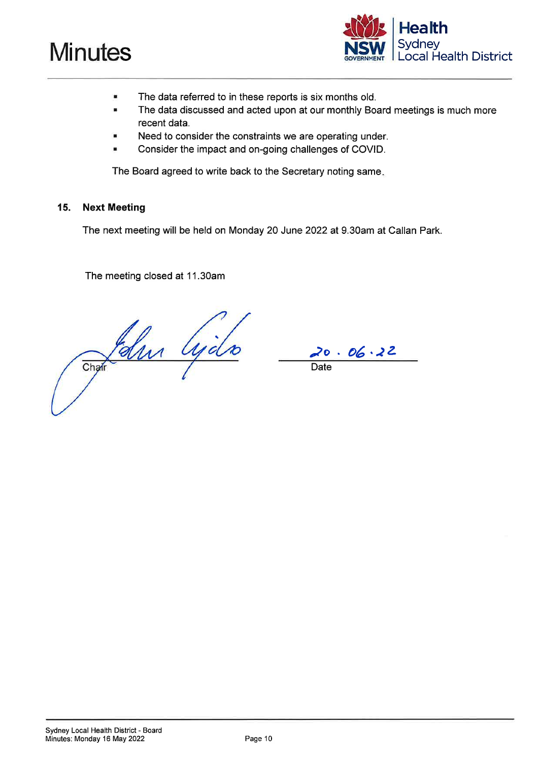



- The data referred to in these reports is six months old.
- The data discussed and acted upon at our monthly Board meetings is much more recent data.
- Need to consider the constraints we are operating under.
- Consider the impact and on-going challenges of COVID. ٠

The Board agreed to write back to the Secretary noting same.

#### 15. **Next Meeting**

The next meeting will be held on Monday 20 June 2022 at 9.30am at Callan Park.

The meeting closed at 11.30am

Chair Cycle

20.06.22

**Date**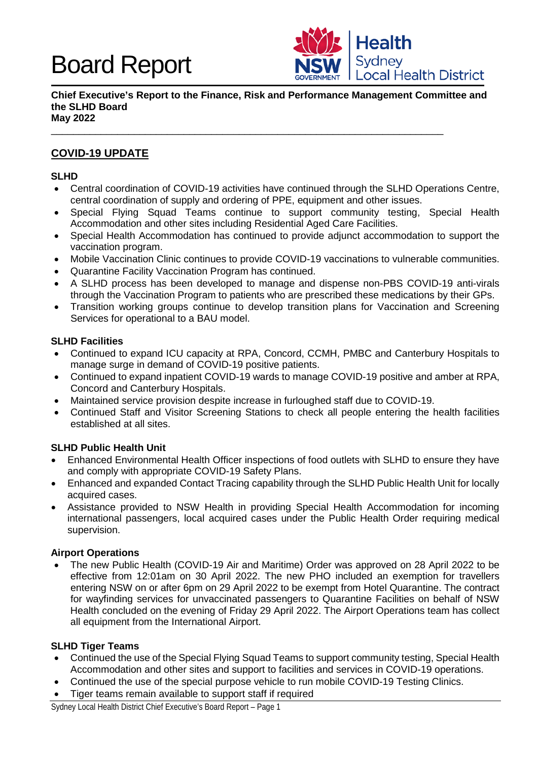

**Chief Executive's Report to the Finance, Risk and Performance Management Committee and the SLHD Board May 2022**

\_\_\_\_\_\_\_\_\_\_\_\_\_\_\_\_\_\_\_\_\_\_\_\_\_\_\_\_\_\_\_\_\_\_\_\_\_\_\_\_\_\_\_\_\_\_\_\_\_\_\_\_\_\_\_\_\_\_\_\_\_\_\_\_\_\_\_\_\_\_\_

# **COVID-19 UPDATE**

#### **SLHD**

- Central coordination of COVID-19 activities have continued through the SLHD Operations Centre, central coordination of supply and ordering of PPE, equipment and other issues.
- Special Flying Squad Teams continue to support community testing, Special Health Accommodation and other sites including Residential Aged Care Facilities.
- Special Health Accommodation has continued to provide adjunct accommodation to support the vaccination program.
- Mobile Vaccination Clinic continues to provide COVID-19 vaccinations to vulnerable communities.
- Quarantine Facility Vaccination Program has continued.
- A SLHD process has been developed to manage and dispense non-PBS COVID-19 anti-virals through the Vaccination Program to patients who are prescribed these medications by their GPs.
- Transition working groups continue to develop transition plans for Vaccination and Screening Services for operational to a BAU model.

# **SLHD Facilities**

- Continued to expand ICU capacity at RPA, Concord, CCMH, PMBC and Canterbury Hospitals to manage surge in demand of COVID-19 positive patients.
- Continued to expand inpatient COVID-19 wards to manage COVID-19 positive and amber at RPA, Concord and Canterbury Hospitals.
- Maintained service provision despite increase in furloughed staff due to COVID-19.
- Continued Staff and Visitor Screening Stations to check all people entering the health facilities established at all sites.

# **SLHD Public Health Unit**

- Enhanced Environmental Health Officer inspections of food outlets with SLHD to ensure they have and comply with appropriate COVID-19 Safety Plans.
- Enhanced and expanded Contact Tracing capability through the SLHD Public Health Unit for locally acquired cases.
- Assistance provided to NSW Health in providing Special Health Accommodation for incoming international passengers, local acquired cases under the Public Health Order requiring medical supervision.

# **Airport Operations**

• The new Public Health (COVID-19 Air and Maritime) Order was approved on 28 April 2022 to be effective from 12:01am on 30 April 2022. The new PHO included an exemption for travellers entering NSW on or after 6pm on 29 April 2022 to be exempt from Hotel Quarantine. The contract for wayfinding services for unvaccinated passengers to Quarantine Facilities on behalf of NSW Health concluded on the evening of Friday 29 April 2022. The Airport Operations team has collect all equipment from the International Airport.

#### **SLHD Tiger Teams**

- Continued the use of the Special Flying Squad Teams to support community testing, Special Health Accommodation and other sites and support to facilities and services in COVID-19 operations.
- Continued the use of the special purpose vehicle to run mobile COVID-19 Testing Clinics.
- Tiger teams remain available to support staff if required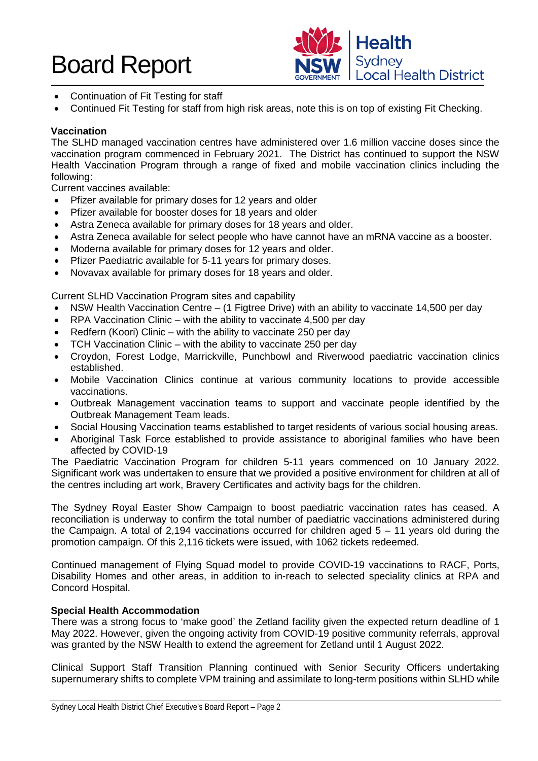

- Continuation of Fit Testing for staff
- Continued Fit Testing for staff from high risk areas, note this is on top of existing Fit Checking.

# **Vaccination**

The SLHD managed vaccination centres have administered over 1.6 million vaccine doses since the vaccination program commenced in February 2021. The District has continued to support the NSW Health Vaccination Program through a range of fixed and mobile vaccination clinics including the following:

Current vaccines available:

- Pfizer available for primary doses for 12 years and older
- Pfizer available for booster doses for 18 years and older
- Astra Zeneca available for primary doses for 18 years and older.
- Astra Zeneca available for select people who have cannot have an mRNA vaccine as a booster.
- Moderna available for primary doses for 12 years and older.
- Pfizer Paediatric available for 5-11 years for primary doses.
- Novavax available for primary doses for 18 years and older.

Current SLHD Vaccination Program sites and capability

- NSW Health Vaccination Centre (1 Figtree Drive) with an ability to vaccinate 14,500 per day
- RPA Vaccination Clinic with the ability to vaccinate 4,500 per day
- Redfern (Koori) Clinic with the ability to vaccinate 250 per day
- TCH Vaccination Clinic with the ability to vaccinate 250 per day
- Croydon, Forest Lodge, Marrickville, Punchbowl and Riverwood paediatric vaccination clinics established.
- Mobile Vaccination Clinics continue at various community locations to provide accessible vaccinations.
- Outbreak Management vaccination teams to support and vaccinate people identified by the Outbreak Management Team leads.
- Social Housing Vaccination teams established to target residents of various social housing areas.
- Aboriginal Task Force established to provide assistance to aboriginal families who have been affected by COVID-19

The Paediatric Vaccination Program for children 5-11 years commenced on 10 January 2022. Significant work was undertaken to ensure that we provided a positive environment for children at all of the centres including art work, Bravery Certificates and activity bags for the children.

The Sydney Royal Easter Show Campaign to boost paediatric vaccination rates has ceased. A reconciliation is underway to confirm the total number of paediatric vaccinations administered during the Campaign. A total of 2,194 vaccinations occurred for children aged 5 – 11 years old during the promotion campaign. Of this 2,116 tickets were issued, with 1062 tickets redeemed.

Continued management of Flying Squad model to provide COVID-19 vaccinations to RACF, Ports, Disability Homes and other areas, in addition to in-reach to selected speciality clinics at RPA and Concord Hospital.

# **Special Health Accommodation**

There was a strong focus to 'make good' the Zetland facility given the expected return deadline of 1 May 2022. However, given the ongoing activity from COVID-19 positive community referrals, approval was granted by the NSW Health to extend the agreement for Zetland until 1 August 2022.

Clinical Support Staff Transition Planning continued with Senior Security Officers undertaking supernumerary shifts to complete VPM training and assimilate to long-term positions within SLHD while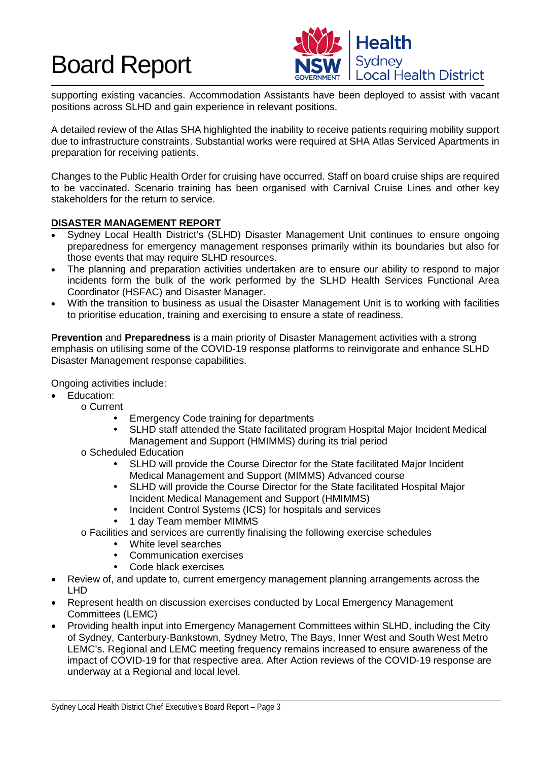

supporting existing vacancies. Accommodation Assistants have been deployed to assist with vacant positions across SLHD and gain experience in relevant positions.

A detailed review of the Atlas SHA highlighted the inability to receive patients requiring mobility support due to infrastructure constraints. Substantial works were required at SHA Atlas Serviced Apartments in preparation for receiving patients.

Changes to the Public Health Order for cruising have occurred. Staff on board cruise ships are required to be vaccinated. Scenario training has been organised with Carnival Cruise Lines and other key stakeholders for the return to service.

# **DISASTER MANAGEMENT REPORT**

- Sydney Local Health District's (SLHD) Disaster Management Unit continues to ensure ongoing preparedness for emergency management responses primarily within its boundaries but also for those events that may require SLHD resources.
- The planning and preparation activities undertaken are to ensure our ability to respond to major incidents form the bulk of the work performed by the SLHD Health Services Functional Area Coordinator (HSFAC) and Disaster Manager.
- With the transition to business as usual the Disaster Management Unit is to working with facilities to prioritise education, training and exercising to ensure a state of readiness.

**Prevention** and **Preparedness** is a main priority of Disaster Management activities with a strong emphasis on utilising some of the COVID-19 response platforms to reinvigorate and enhance SLHD Disaster Management response capabilities.

Ongoing activities include:

- Education:
	- o Current
		- Emergency Code training for departments
		- SLHD staff attended the State facilitated program Hospital Major Incident Medical Management and Support (HMIMMS) during its trial period
		- o Scheduled Education
			- SLHD will provide the Course Director for the State facilitated Major Incident Medical Management and Support (MIMMS) Advanced course
			- SLHD will provide the Course Director for the State facilitated Hospital Major Incident Medical Management and Support (HMIMMS)
			- Incident Control Systems (ICS) for hospitals and services
			- 1 day Team member MIMMS
		- o Facilities and services are currently finalising the following exercise schedules
			- White level searches
			- Communication exercises
			- Code black exercises
- Review of, and update to, current emergency management planning arrangements across the LHD
- Represent health on discussion exercises conducted by Local Emergency Management Committees (LEMC)
- Providing health input into Emergency Management Committees within SLHD, including the City of Sydney, Canterbury-Bankstown, Sydney Metro, The Bays, Inner West and South West Metro LEMC's. Regional and LEMC meeting frequency remains increased to ensure awareness of the impact of COVID-19 for that respective area. After Action reviews of the COVID-19 response are underway at a Regional and local level.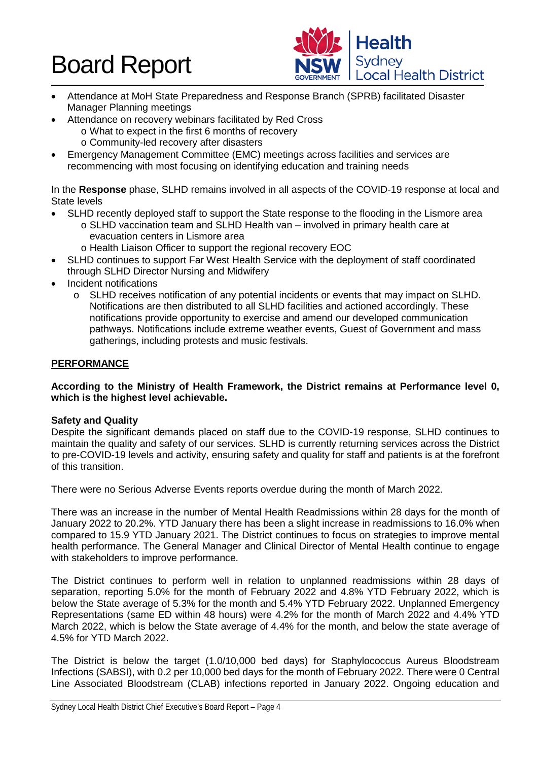

- Attendance at MoH State Preparedness and Response Branch (SPRB) facilitated Disaster Manager Planning meetings
- Attendance on recovery webinars facilitated by Red Cross
	- o What to expect in the first 6 months of recovery
	- o Community-led recovery after disasters
- Emergency Management Committee (EMC) meetings across facilities and services are recommencing with most focusing on identifying education and training needs

In the **Response** phase, SLHD remains involved in all aspects of the COVID-19 response at local and State levels

- SLHD recently deployed staff to support the State response to the flooding in the Lismore area
	- o SLHD vaccination team and SLHD Health van involved in primary health care at evacuation centers in Lismore area
	- o Health Liaison Officer to support the regional recovery EOC
- SLHD continues to support Far West Health Service with the deployment of staff coordinated through SLHD Director Nursing and Midwifery
- Incident notifications
	- o SLHD receives notification of any potential incidents or events that may impact on SLHD. Notifications are then distributed to all SLHD facilities and actioned accordingly. These notifications provide opportunity to exercise and amend our developed communication pathways. Notifications include extreme weather events, Guest of Government and mass gatherings, including protests and music festivals.

# **PERFORMANCE**

# **According to the Ministry of Health Framework, the District remains at Performance level 0, which is the highest level achievable.**

# **Safety and Quality**

Despite the significant demands placed on staff due to the COVID-19 response, SLHD continues to maintain the quality and safety of our services. SLHD is currently returning services across the District to pre-COVID-19 levels and activity, ensuring safety and quality for staff and patients is at the forefront of this transition.

There were no Serious Adverse Events reports overdue during the month of March 2022.

There was an increase in the number of Mental Health Readmissions within 28 days for the month of January 2022 to 20.2%. YTD January there has been a slight increase in readmissions to 16.0% when compared to 15.9 YTD January 2021. The District continues to focus on strategies to improve mental health performance. The General Manager and Clinical Director of Mental Health continue to engage with stakeholders to improve performance.

The District continues to perform well in relation to unplanned readmissions within 28 days of separation, reporting 5.0% for the month of February 2022 and 4.8% YTD February 2022, which is below the State average of 5.3% for the month and 5.4% YTD February 2022. Unplanned Emergency Representations (same ED within 48 hours) were 4.2% for the month of March 2022 and 4.4% YTD March 2022, which is below the State average of 4.4% for the month, and below the state average of 4.5% for YTD March 2022.

The District is below the target (1.0/10,000 bed days) for Staphylococcus Aureus Bloodstream Infections (SABSI), with 0.2 per 10,000 bed days for the month of February 2022. There were 0 Central Line Associated Bloodstream (CLAB) infections reported in January 2022. Ongoing education and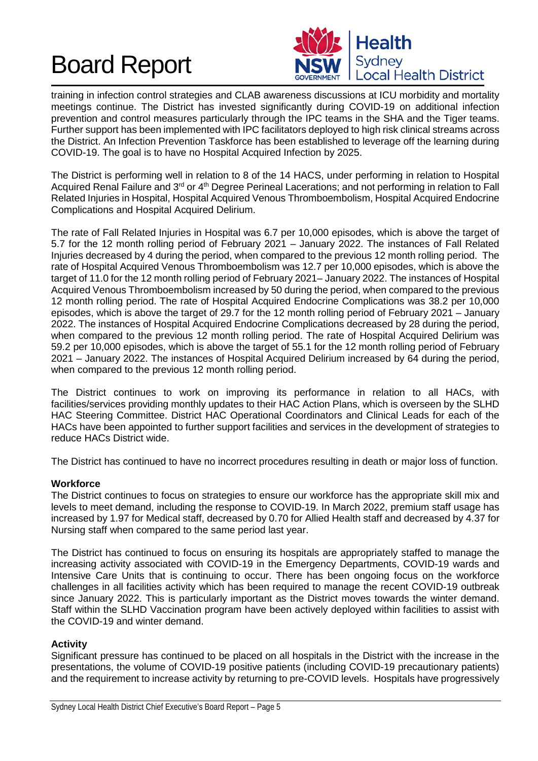

training in infection control strategies and CLAB awareness discussions at ICU morbidity and mortality meetings continue. The District has invested significantly during COVID-19 on additional infection prevention and control measures particularly through the IPC teams in the SHA and the Tiger teams. Further support has been implemented with IPC facilitators deployed to high risk clinical streams across the District. An Infection Prevention Taskforce has been established to leverage off the learning during COVID-19. The goal is to have no Hospital Acquired Infection by 2025.

The District is performing well in relation to 8 of the 14 HACS, under performing in relation to Hospital Acquired Renal Failure and 3<sup>rd</sup> or 4<sup>th</sup> Degree Perineal Lacerations; and not performing in relation to Fall Related Injuries in Hospital, Hospital Acquired Venous Thromboembolism, Hospital Acquired Endocrine Complications and Hospital Acquired Delirium.

The rate of Fall Related Injuries in Hospital was 6.7 per 10,000 episodes, which is above the target of 5.7 for the 12 month rolling period of February 2021 – January 2022. The instances of Fall Related Injuries decreased by 4 during the period, when compared to the previous 12 month rolling period. The rate of Hospital Acquired Venous Thromboembolism was 12.7 per 10,000 episodes, which is above the target of 11.0 for the 12 month rolling period of February 2021– January 2022. The instances of Hospital Acquired Venous Thromboembolism increased by 50 during the period, when compared to the previous 12 month rolling period. The rate of Hospital Acquired Endocrine Complications was 38.2 per 10,000 episodes, which is above the target of 29.7 for the 12 month rolling period of February 2021 – January 2022. The instances of Hospital Acquired Endocrine Complications decreased by 28 during the period, when compared to the previous 12 month rolling period. The rate of Hospital Acquired Delirium was 59.2 per 10,000 episodes, which is above the target of 55.1 for the 12 month rolling period of February 2021 – January 2022. The instances of Hospital Acquired Delirium increased by 64 during the period, when compared to the previous 12 month rolling period.

The District continues to work on improving its performance in relation to all HACs, with facilities/services providing monthly updates to their HAC Action Plans, which is overseen by the SLHD HAC Steering Committee. District HAC Operational Coordinators and Clinical Leads for each of the HACs have been appointed to further support facilities and services in the development of strategies to reduce HACs District wide.

The District has continued to have no incorrect procedures resulting in death or major loss of function.

# **Workforce**

The District continues to focus on strategies to ensure our workforce has the appropriate skill mix and levels to meet demand, including the response to COVID-19. In March 2022, premium staff usage has increased by 1.97 for Medical staff, decreased by 0.70 for Allied Health staff and decreased by 4.37 for Nursing staff when compared to the same period last year.

The District has continued to focus on ensuring its hospitals are appropriately staffed to manage the increasing activity associated with COVID-19 in the Emergency Departments, COVID-19 wards and Intensive Care Units that is continuing to occur. There has been ongoing focus on the workforce challenges in all facilities activity which has been required to manage the recent COVID-19 outbreak since January 2022. This is particularly important as the District moves towards the winter demand. Staff within the SLHD Vaccination program have been actively deployed within facilities to assist with the COVID-19 and winter demand.

# **Activity**

Significant pressure has continued to be placed on all hospitals in the District with the increase in the presentations, the volume of COVID-19 positive patients (including COVID-19 precautionary patients) and the requirement to increase activity by returning to pre-COVID levels. Hospitals have progressively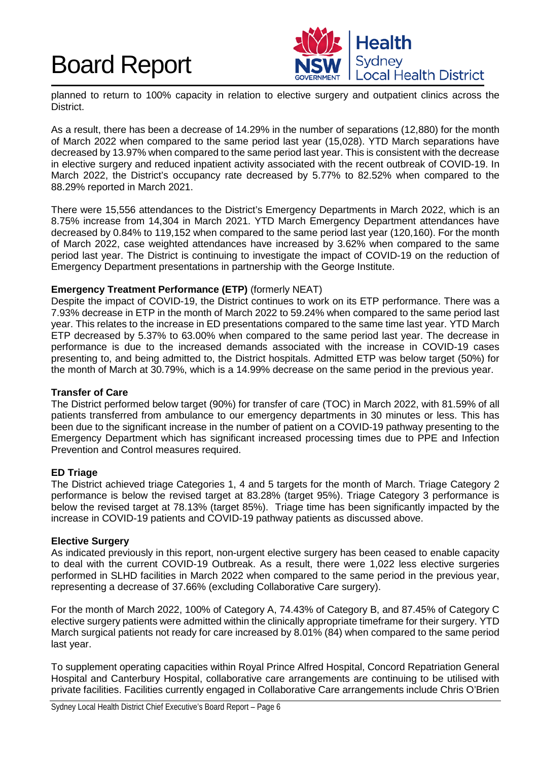

planned to return to 100% capacity in relation to elective surgery and outpatient clinics across the District.

As a result, there has been a decrease of 14.29% in the number of separations (12,880) for the month of March 2022 when compared to the same period last year (15,028). YTD March separations have decreased by 13.97% when compared to the same period last year. This is consistent with the decrease in elective surgery and reduced inpatient activity associated with the recent outbreak of COVID-19. In March 2022, the District's occupancy rate decreased by 5.77% to 82.52% when compared to the 88.29% reported in March 2021.

There were 15,556 attendances to the District's Emergency Departments in March 2022, which is an 8.75% increase from 14,304 in March 2021. YTD March Emergency Department attendances have decreased by 0.84% to 119,152 when compared to the same period last year (120,160). For the month of March 2022, case weighted attendances have increased by 3.62% when compared to the same period last year. The District is continuing to investigate the impact of COVID-19 on the reduction of Emergency Department presentations in partnership with the George Institute.

# **Emergency Treatment Performance (ETP)** (formerly NEAT)

Despite the impact of COVID-19, the District continues to work on its ETP performance. There was a 7.93% decrease in ETP in the month of March 2022 to 59.24% when compared to the same period last year. This relates to the increase in ED presentations compared to the same time last year. YTD March ETP decreased by 5.37% to 63.00% when compared to the same period last year. The decrease in performance is due to the increased demands associated with the increase in COVID-19 cases presenting to, and being admitted to, the District hospitals. Admitted ETP was below target (50%) for the month of March at 30.79%, which is a 14.99% decrease on the same period in the previous year.

# **Transfer of Care**

The District performed below target (90%) for transfer of care (TOC) in March 2022, with 81.59% of all patients transferred from ambulance to our emergency departments in 30 minutes or less. This has been due to the significant increase in the number of patient on a COVID-19 pathway presenting to the Emergency Department which has significant increased processing times due to PPE and Infection Prevention and Control measures required.

# **ED Triage**

The District achieved triage Categories 1, 4 and 5 targets for the month of March. Triage Category 2 performance is below the revised target at 83.28% (target 95%). Triage Category 3 performance is below the revised target at 78.13% (target 85%). Triage time has been significantly impacted by the increase in COVID-19 patients and COVID-19 pathway patients as discussed above.

# **Elective Surgery**

As indicated previously in this report, non-urgent elective surgery has been ceased to enable capacity to deal with the current COVID-19 Outbreak. As a result, there were 1,022 less elective surgeries performed in SLHD facilities in March 2022 when compared to the same period in the previous year, representing a decrease of 37.66% (excluding Collaborative Care surgery).

For the month of March 2022, 100% of Category A, 74.43% of Category B, and 87.45% of Category C elective surgery patients were admitted within the clinically appropriate timeframe for their surgery. YTD March surgical patients not ready for care increased by 8.01% (84) when compared to the same period last year.

To supplement operating capacities within Royal Prince Alfred Hospital, Concord Repatriation General Hospital and Canterbury Hospital, collaborative care arrangements are continuing to be utilised with private facilities. Facilities currently engaged in Collaborative Care arrangements include Chris O'Brien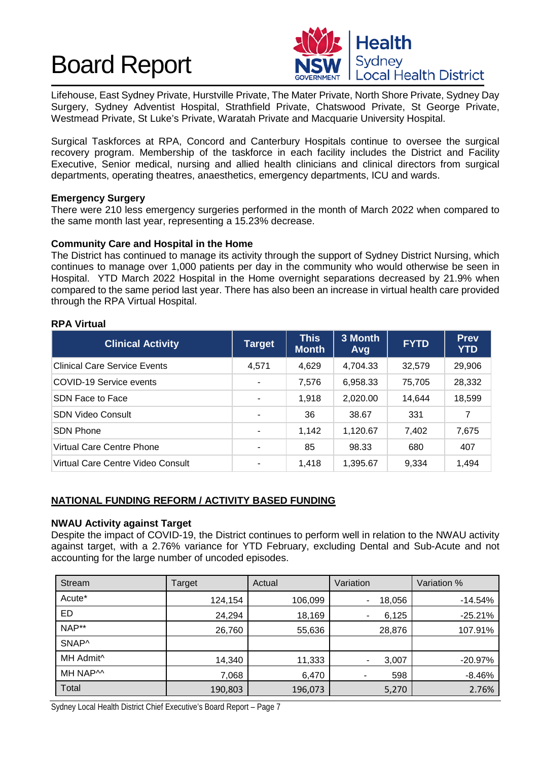

Lifehouse, East Sydney Private, Hurstville Private, The Mater Private, North Shore Private, Sydney Day Surgery, Sydney Adventist Hospital, Strathfield Private, Chatswood Private, St George Private, Westmead Private, St Luke's Private, Waratah Private and Macquarie University Hospital.

Surgical Taskforces at RPA, Concord and Canterbury Hospitals continue to oversee the surgical recovery program. Membership of the taskforce in each facility includes the District and Facility Executive, Senior medical, nursing and allied health clinicians and clinical directors from surgical departments, operating theatres, anaesthetics, emergency departments, ICU and wards.

# **Emergency Surgery**

There were 210 less emergency surgeries performed in the month of March 2022 when compared to the same month last year, representing a 15.23% decrease.

# **Community Care and Hospital in the Home**

The District has continued to manage its activity through the support of Sydney District Nursing, which continues to manage over 1,000 patients per day in the community who would otherwise be seen in Hospital. YTD March 2022 Hospital in the Home overnight separations decreased by 21.9% when compared to the same period last year. There has also been an increase in virtual health care provided through the RPA Virtual Hospital.

# **RPA Virtual**

| <b>Clinical Activity</b>            | <b>Target</b> | <b>This</b><br><b>Month</b> | 3 Month<br>Avg | <b>FYTD</b> | <b>Prev</b><br><b>YTD</b> |
|-------------------------------------|---------------|-----------------------------|----------------|-------------|---------------------------|
| <b>Clinical Care Service Events</b> | 4,571         | 4,629                       | 4,704.33       | 32,579      | 29,906                    |
| COVID-19 Service events             |               | 7,576                       | 6,958.33       | 75,705      | 28,332                    |
| SDN Face to Face                    | ۰             | 1,918                       | 2,020.00       | 14.644      | 18,599                    |
| <b>SDN Video Consult</b>            |               | 36                          | 38.67          | 331         | 7                         |
| <b>SDN Phone</b>                    | ۰             | 1,142                       | 1,120.67       | 7,402       | 7,675                     |
| Virtual Care Centre Phone           |               | 85                          | 98.33          | 680         | 407                       |
| Virtual Care Centre Video Consult   | ۰             | 1,418                       | 1,395.67       | 9,334       | 1,494                     |

# **NATIONAL FUNDING REFORM / ACTIVITY BASED FUNDING**

# **NWAU Activity against Target**

Despite the impact of COVID-19, the District continues to perform well in relation to the NWAU activity against target, with a 2.76% variance for YTD February, excluding Dental and Sub-Acute and not accounting for the large number of uncoded episodes.

| Stream                | Target  | Actual  | Variation                          | Variation % |
|-----------------------|---------|---------|------------------------------------|-------------|
| Acute*                | 124,154 | 106,099 | 18,056<br>$\overline{\phantom{a}}$ | $-14.54%$   |
| ED                    | 24,294  | 18,169  | 6,125<br>٠                         | $-25.21%$   |
| NAP**                 | 26,760  | 55,636  | 28,876                             | 107.91%     |
| SNAP^                 |         |         |                                    |             |
| MH Admit <sup>^</sup> | 14,340  | 11,333  | 3,007<br>۰                         | $-20.97%$   |
| MH NAP <sup>M</sup>   | 7,068   | 6,470   | 598                                | $-8.46%$    |
| Total                 | 190,803 | 196,073 | 5,270                              | 2.76%       |

Sydney Local Health District Chief Executive's Board Report – Page 7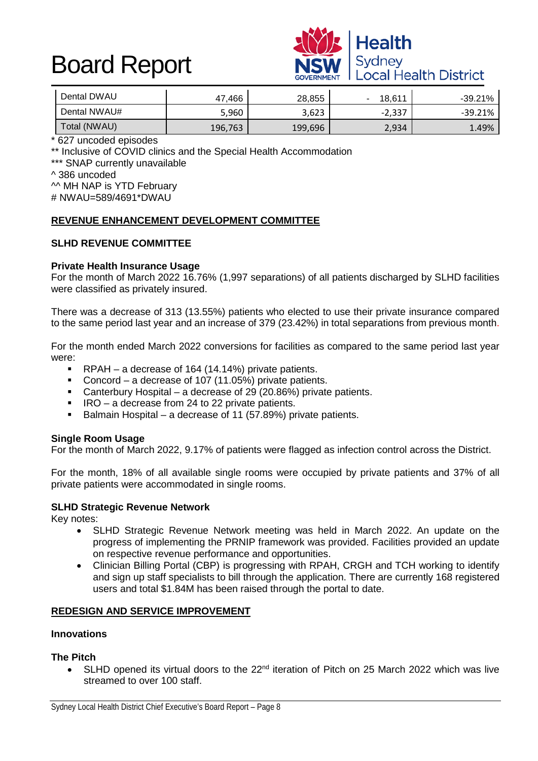

| Dental DWAU  | 47.466  | 28,855  | 18.611   | $-39.21%$ |
|--------------|---------|---------|----------|-----------|
| Dental NWAU# | 5,960   | 3,623   | $-2,337$ | -39.21%   |
| Total (NWAU) | 196,763 | 199,696 | 2,934    | 1.49%     |

\* 627 uncoded episodes

\*\* Inclusive of COVID clinics and the Special Health Accommodation

\*\*\* SNAP currently unavailable

^ 386 uncoded

^^ MH NAP is YTD February # NWAU=589/4691\*DWAU

# **REVENUE ENHANCEMENT DEVELOPMENT COMMITTEE**

# **SLHD REVENUE COMMITTEE**

# **Private Health Insurance Usage**

For the month of March 2022 16.76% (1,997 separations) of all patients discharged by SLHD facilities were classified as privately insured.

There was a decrease of 313 (13.55%) patients who elected to use their private insurance compared to the same period last year and an increase of 379 (23.42%) in total separations from previous month.

For the month ended March 2022 conversions for facilities as compared to the same period last year were:

- RPAH a decrease of 164 (14.14%) private patients.<br>Concord a decrease of 107 (11.05%) private patient
- Concord a decrease of 107 (11.05%) private patients.
- Canterbury Hospital a decrease of 29 (20.86%) private patients.
- $\blacksquare$  IRO a decrease from 24 to 22 private patients.
- Balmain Hospital a decrease of 11 (57.89%) private patients.

# **Single Room Usage**

For the month of March 2022, 9.17% of patients were flagged as infection control across the District.

For the month, 18% of all available single rooms were occupied by private patients and 37% of all private patients were accommodated in single rooms.

#### **SLHD Strategic Revenue Network**

Key notes:

- SLHD Strategic Revenue Network meeting was held in March 2022. An update on the progress of implementing the PRNIP framework was provided. Facilities provided an update on respective revenue performance and opportunities.
- Clinician Billing Portal (CBP) is progressing with RPAH, CRGH and TCH working to identify and sign up staff specialists to bill through the application. There are currently 168 registered users and total \$1.84M has been raised through the portal to date.

# **REDESIGN AND SERVICE IMPROVEMENT**

#### **Innovations**

# **The Pitch**

SLHD opened its virtual doors to the 22<sup>nd</sup> iteration of Pitch on 25 March 2022 which was live streamed to over 100 staff.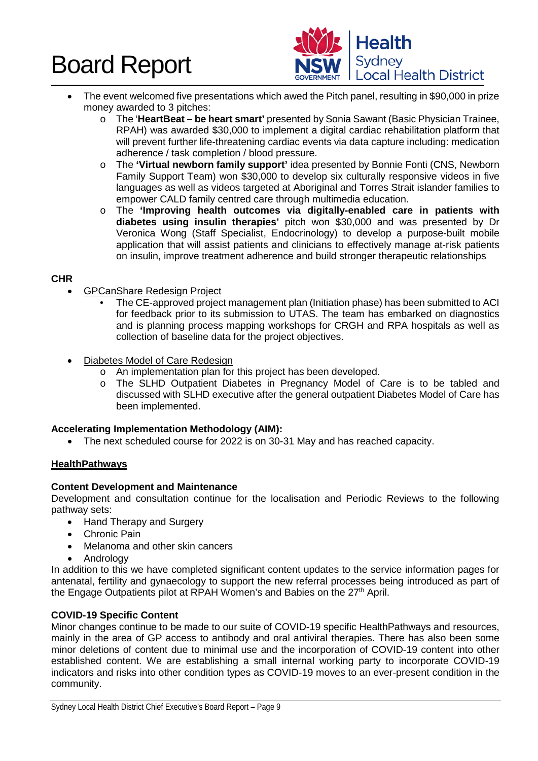

- The event welcomed five presentations which awed the Pitch panel, resulting in \$90,000 in prize money awarded to 3 pitches:
	- o The '**HeartBeat – be heart smart'** presented by Sonia Sawant (Basic Physician Trainee, RPAH) was awarded \$30,000 to implement a digital cardiac rehabilitation platform that will prevent further life-threatening cardiac events via data capture including: medication adherence / task completion / blood pressure.
	- o The **'Virtual newborn family support'** idea presented by Bonnie Fonti (CNS, Newborn Family Support Team) won \$30,000 to develop six culturally responsive videos in five languages as well as videos targeted at Aboriginal and Torres Strait islander families to empower CALD family centred care through multimedia education.
	- o The **'Improving health outcomes via digitally-enabled care in patients with diabetes using insulin therapies'** pitch won \$30,000 and was presented by Dr Veronica Wong (Staff Specialist, Endocrinology) to develop a purpose-built mobile application that will assist patients and clinicians to effectively manage at-risk patients on insulin, improve treatment adherence and build stronger therapeutic relationships

# **CHR**

- GPCanShare Redesign Project
	- The CE-approved project management plan (Initiation phase) has been submitted to ACI for feedback prior to its submission to UTAS. The team has embarked on diagnostics and is planning process mapping workshops for CRGH and RPA hospitals as well as collection of baseline data for the project objectives.
- Diabetes Model of Care Redesign
	- o An implementation plan for this project has been developed.
	- o The SLHD Outpatient Diabetes in Pregnancy Model of Care is to be tabled and discussed with SLHD executive after the general outpatient Diabetes Model of Care has been implemented.

# **Accelerating Implementation Methodology (AIM):**

• The next scheduled course for 2022 is on 30-31 May and has reached capacity.

# **HealthPathways**

# **Content Development and Maintenance**

Development and consultation continue for the localisation and Periodic Reviews to the following pathway sets:

- Hand Therapy and Surgery
- Chronic Pain
- Melanoma and other skin cancers
- Andrology

In addition to this we have completed significant content updates to the service information pages for antenatal, fertility and gynaecology to support the new referral processes being introduced as part of the Engage Outpatients pilot at RPAH Women's and Babies on the 27<sup>th</sup> April.

# **COVID-19 Specific Content**

Minor changes continue to be made to our suite of COVID-19 specific HealthPathways and resources, mainly in the area of GP access to antibody and oral antiviral therapies. There has also been some minor deletions of content due to minimal use and the incorporation of COVID-19 content into other established content. We are establishing a small internal working party to incorporate COVID-19 indicators and risks into other condition types as COVID-19 moves to an ever-present condition in the community.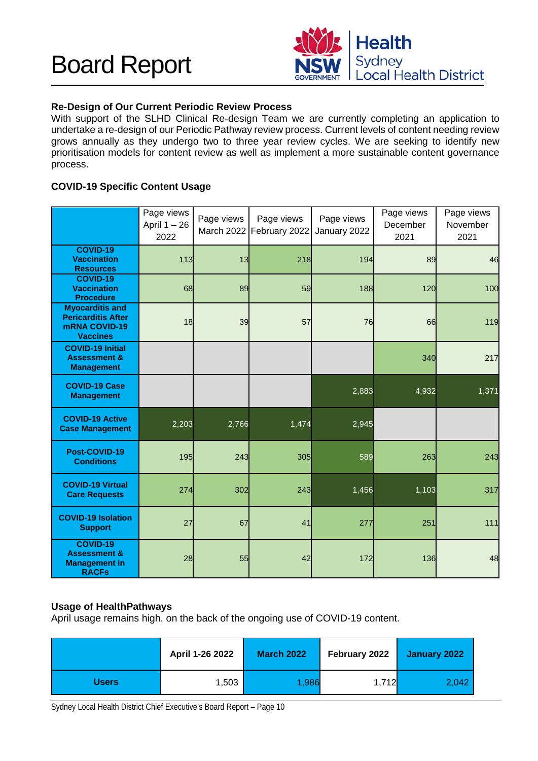

# **Re-Design of Our Current Periodic Review Process**

With support of the SLHD Clinical Re-design Team we are currently completing an application to undertake a re-design of our Periodic Pathway review process. Current levels of content needing review grows annually as they undergo two to three year review cycles. We are seeking to identify new prioritisation models for content review as well as implement a more sustainable content governance process.

# **COVID-19 Specific Content Usage**

|                                                                                                | Page views<br>April $1 - 26$<br>2022 | Page views | Page views<br>March 2022 February 2022 | Page views<br>January 2022 | Page views<br>December<br>2021 | Page views<br>November<br>2021 |
|------------------------------------------------------------------------------------------------|--------------------------------------|------------|----------------------------------------|----------------------------|--------------------------------|--------------------------------|
| <b>COVID-19</b><br><b>Vaccination</b><br><b>Resources</b>                                      | 113                                  | 13         | 218                                    | 194                        | 89                             | 46                             |
| <b>COVID-19</b><br><b>Vaccination</b><br><b>Procedure</b>                                      | 68                                   | 89         | 59                                     | 188                        | 120                            | 100                            |
| <b>Myocarditis and</b><br><b>Pericarditis After</b><br><b>mRNA COVID-19</b><br><b>Vaccines</b> | 18                                   | 39         | 57                                     | 76                         | 66                             | 119                            |
| <b>COVID-19 Initial</b><br><b>Assessment &amp;</b><br><b>Management</b>                        |                                      |            |                                        |                            | 340                            | 217                            |
| <b>COVID-19 Case</b><br><b>Management</b>                                                      |                                      |            |                                        | 2,883                      | 4,932                          | 1,371                          |
| <b>COVID-19 Active</b><br><b>Case Management</b>                                               | 2,203                                | 2,766      | 1,474                                  | 2,945                      |                                |                                |
| Post-COVID-19<br><b>Conditions</b>                                                             | 195                                  | 243        | 305                                    | 589                        | 263                            | 243                            |
| <b>COVID-19 Virtual</b><br><b>Care Requests</b>                                                | 274                                  | 302        | 243                                    | 1,456                      | 1,103                          | 317                            |
| <b>COVID-19 Isolation</b><br><b>Support</b>                                                    | 27                                   | 67         | 41                                     | 277                        | 251                            | $111$                          |
| <b>COVID-19</b><br><b>Assessment &amp;</b><br><b>Management in</b><br><b>RACFs</b>             | 28                                   | 55         | 42                                     | 172                        | 136                            | 48                             |

# **Usage of HealthPathways**

April usage remains high, on the back of the ongoing use of COVID-19 content.

|              | April 1-26 2022 | <b>March 2022</b> | February 2022 | January 2022 |
|--------------|-----------------|-------------------|---------------|--------------|
| <b>Users</b> | 1,503           | 1,986             | 1,712         | 2,042        |

Sydney Local Health District Chief Executive's Board Report – Page 10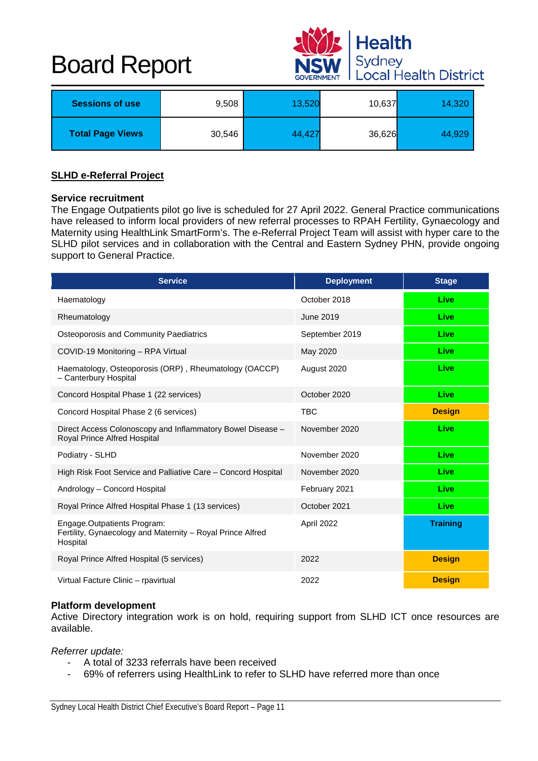

| <b>Sessions of use</b>  | 9,508  | 13,520 | 10,637 | 14,320 |
|-------------------------|--------|--------|--------|--------|
| <b>Total Page Views</b> | 30,546 | 44,427 | 36,626 | 44,929 |

#### **SLHD e-Referral Project**

#### **Service recruitment**

The Engage Outpatients pilot go live is scheduled for 27 April 2022. General Practice communications have released to inform local providers of new referral processes to RPAH Fertility, Gynaecology and Maternity using HealthLink SmartForm's. The e-Referral Project Team will assist with hyper care to the SLHD pilot services and in collaboration with the Central and Eastern Sydney PHN, provide ongoing support to General Practice.

| <b>Service</b>                                                                                        | <b>Deployment</b> | <b>Stage</b>    |
|-------------------------------------------------------------------------------------------------------|-------------------|-----------------|
| Haematology                                                                                           | October 2018      | Live            |
| Rheumatology                                                                                          | June 2019         | Live            |
| Osteoporosis and Community Paediatrics                                                                | September 2019    | Live            |
| COVID-19 Monitoring - RPA Virtual                                                                     | May 2020          | Live            |
| Haematology, Osteoporosis (ORP), Rheumatology (OACCP)<br>- Canterbury Hospital                        | August 2020       | Live            |
| Concord Hospital Phase 1 (22 services)                                                                | October 2020      | Live            |
| Concord Hospital Phase 2 (6 services)                                                                 | <b>TBC</b>        | <b>Design</b>   |
| Direct Access Colonoscopy and Inflammatory Bowel Disease -<br>Royal Prince Alfred Hospital            | November 2020     | Live            |
| Podiatry - SLHD                                                                                       | November 2020     | Live            |
| High Risk Foot Service and Palliative Care – Concord Hospital                                         | November 2020     | Live            |
| Andrology - Concord Hospital                                                                          | February 2021     | Live            |
| Royal Prince Alfred Hospital Phase 1 (13 services)                                                    | October 2021      | Live            |
| Engage.Outpatients Program:<br>Fertility, Gynaecology and Maternity - Royal Prince Alfred<br>Hospital | April 2022        | <b>Training</b> |
| Royal Prince Alfred Hospital (5 services)                                                             | 2022              | <b>Design</b>   |
| Virtual Facture Clinic - rpavirtual                                                                   | 2022              | <b>Design</b>   |

# **Platform development**

Active Directory integration work is on hold, requiring support from SLHD ICT once resources are available.

*Referrer update:*

- A total of 3233 referrals have been received
- 69% of referrers using HealthLink to refer to SLHD have referred more than once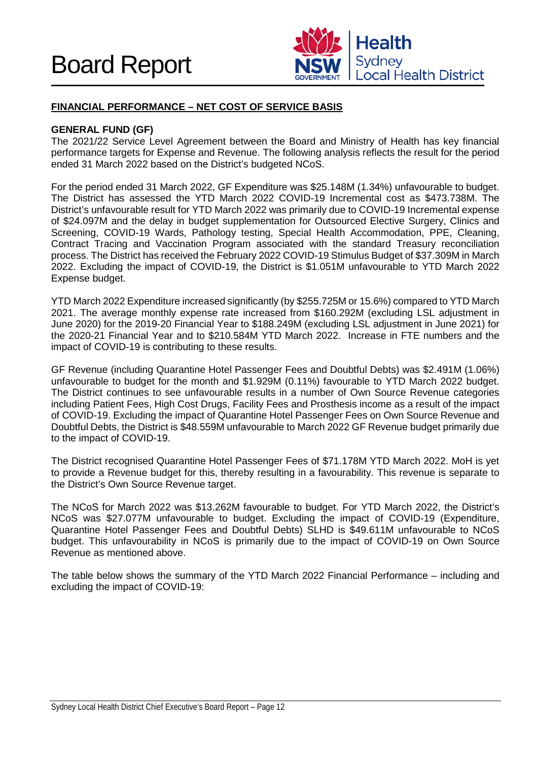

# **FINANCIAL PERFORMANCE – NET COST OF SERVICE BASIS**

# **GENERAL FUND (GF)**

The 2021/22 Service Level Agreement between the Board and Ministry of Health has key financial performance targets for Expense and Revenue. The following analysis reflects the result for the period ended 31 March 2022 based on the District's budgeted NCoS.

For the period ended 31 March 2022, GF Expenditure was \$25.148M (1.34%) unfavourable to budget. The District has assessed the YTD March 2022 COVID-19 Incremental cost as \$473.738M. The District's unfavourable result for YTD March 2022 was primarily due to COVID-19 Incremental expense of \$24.097M and the delay in budget supplementation for Outsourced Elective Surgery, Clinics and Screening, COVID-19 Wards, Pathology testing, Special Health Accommodation, PPE, Cleaning, Contract Tracing and Vaccination Program associated with the standard Treasury reconciliation process. The District has received the February 2022 COVID-19 Stimulus Budget of \$37.309M in March 2022. Excluding the impact of COVID-19, the District is \$1.051M unfavourable to YTD March 2022 Expense budget.

YTD March 2022 Expenditure increased significantly (by \$255.725M or 15.6%) compared to YTD March 2021. The average monthly expense rate increased from \$160.292M (excluding LSL adjustment in June 2020) for the 2019-20 Financial Year to \$188.249M (excluding LSL adjustment in June 2021) for the 2020-21 Financial Year and to \$210.584M YTD March 2022. Increase in FTE numbers and the impact of COVID-19 is contributing to these results.

GF Revenue (including Quarantine Hotel Passenger Fees and Doubtful Debts) was \$2.491M (1.06%) unfavourable to budget for the month and \$1.929M (0.11%) favourable to YTD March 2022 budget. The District continues to see unfavourable results in a number of Own Source Revenue categories including Patient Fees, High Cost Drugs, Facility Fees and Prosthesis income as a result of the impact of COVID-19. Excluding the impact of Quarantine Hotel Passenger Fees on Own Source Revenue and Doubtful Debts, the District is \$48.559M unfavourable to March 2022 GF Revenue budget primarily due to the impact of COVID-19.

The District recognised Quarantine Hotel Passenger Fees of \$71.178M YTD March 2022. MoH is yet to provide a Revenue budget for this, thereby resulting in a favourability. This revenue is separate to the District's Own Source Revenue target.

The NCoS for March 2022 was \$13.262M favourable to budget. For YTD March 2022, the District's NCoS was \$27.077M unfavourable to budget. Excluding the impact of COVID-19 (Expenditure, Quarantine Hotel Passenger Fees and Doubtful Debts) SLHD is \$49.611M unfavourable to NCoS budget. This unfavourability in NCoS is primarily due to the impact of COVID-19 on Own Source Revenue as mentioned above.

The table below shows the summary of the YTD March 2022 Financial Performance – including and excluding the impact of COVID-19: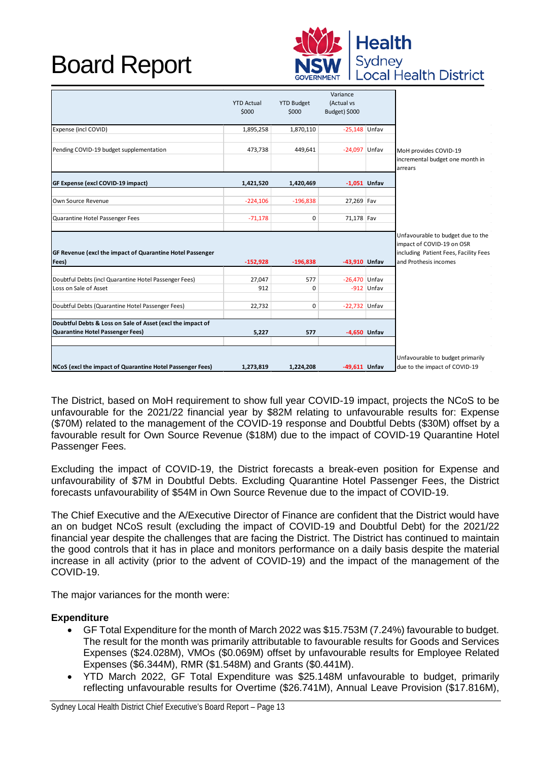

|                                                                    | <b>YTD Actual</b><br>\$000 | <b>YTD Budget</b><br>\$000 | Variance<br>(Actual vs<br>Budget) \$000 |              |                                                                                                                                  |
|--------------------------------------------------------------------|----------------------------|----------------------------|-----------------------------------------|--------------|----------------------------------------------------------------------------------------------------------------------------------|
| Expense (incl COVID)                                               | 1,895,258                  | 1,870,110                  | $-25,148$ Unfav                         |              |                                                                                                                                  |
| Pending COVID-19 budget supplementation                            | 473,738                    | 449,641                    | $-24,097$ Unfav                         |              | MoH provides COVID-19<br>incremental budget one month in<br>arrears                                                              |
| GF Expense (excl COVID-19 impact)                                  | 1,421,520                  | 1,420,469                  | $-1,051$ Unfav                          |              |                                                                                                                                  |
| Own Source Revenue                                                 | $-224,106$                 | $-196,838$                 | 27,269 Fav                              |              |                                                                                                                                  |
| Quarantine Hotel Passenger Fees                                    | $-71,178$                  | $\mathbf 0$                | 71,178 Fav                              |              |                                                                                                                                  |
| GF Revenue (excl the impact of Quarantine Hotel Passenger<br>Fees) | $-152,928$                 | $-196,838$                 | -43.910 Unfav                           |              | Unfavourable to budget due to the<br>impact of COVID-19 on OSR<br>including Patient Fees, Facility Fees<br>and Prothesis incomes |
|                                                                    |                            |                            |                                         |              |                                                                                                                                  |
| Doubtful Debts (incl Quarantine Hotel Passenger Fees)              | 27,047                     | 577                        | $-26,470$ Unfav                         |              |                                                                                                                                  |
| Loss on Sale of Asset                                              | 912                        | $\Omega$                   |                                         | $-912$ Unfav |                                                                                                                                  |
| Doubtful Debts (Quarantine Hotel Passenger Fees)                   | 22,732                     | $\mathbf 0$                | $-22,732$ Unfav                         |              |                                                                                                                                  |
| Doubtful Debts & Loss on Sale of Asset (excl the impact of         |                            |                            |                                         |              |                                                                                                                                  |
| <b>Quarantine Hotel Passenger Fees)</b>                            | 5,227                      | 577                        | -4,650 Unfav                            |              |                                                                                                                                  |
| NCoS (excl the impact of Quarantine Hotel Passenger Fees)          | 1,273,819                  | 1,224,208                  | -49,611 Unfav                           |              | Unfavourable to budget primarily<br>due to the impact of COVID-19                                                                |

The District, based on MoH requirement to show full year COVID-19 impact, projects the NCoS to be unfavourable for the 2021/22 financial year by \$82M relating to unfavourable results for: Expense (\$70M) related to the management of the COVID-19 response and Doubtful Debts (\$30M) offset by a favourable result for Own Source Revenue (\$18M) due to the impact of COVID-19 Quarantine Hotel Passenger Fees.

Excluding the impact of COVID-19, the District forecasts a break-even position for Expense and unfavourability of \$7M in Doubtful Debts. Excluding Quarantine Hotel Passenger Fees, the District forecasts unfavourability of \$54M in Own Source Revenue due to the impact of COVID-19.

The Chief Executive and the A/Executive Director of Finance are confident that the District would have an on budget NCoS result (excluding the impact of COVID-19 and Doubtful Debt) for the 2021/22 financial year despite the challenges that are facing the District. The District has continued to maintain the good controls that it has in place and monitors performance on a daily basis despite the material increase in all activity (prior to the advent of COVID-19) and the impact of the management of the COVID-19.

The major variances for the month were:

# **Expenditure**

- GF Total Expenditure for the month of March 2022 was \$15.753M (7.24%) favourable to budget. The result for the month was primarily attributable to favourable results for Goods and Services Expenses (\$24.028M), VMOs (\$0.069M) offset by unfavourable results for Employee Related Expenses (\$6.344M), RMR (\$1.548M) and Grants (\$0.441M).
- YTD March 2022, GF Total Expenditure was \$25.148M unfavourable to budget, primarily reflecting unfavourable results for Overtime (\$26.741M), Annual Leave Provision (\$17.816M),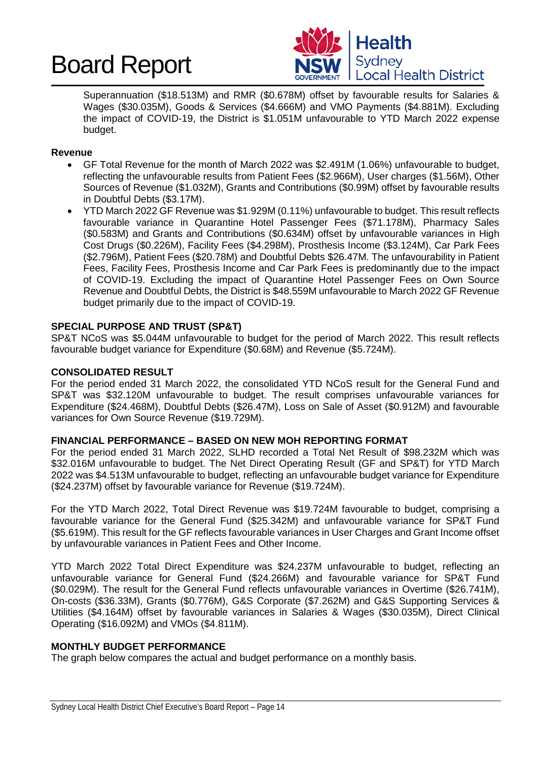



Superannuation (\$18.513M) and RMR (\$0.678M) offset by favourable results for Salaries & Wages (\$30.035M), Goods & Services (\$4.666M) and VMO Payments (\$4.881M). Excluding the impact of COVID-19, the District is \$1.051M unfavourable to YTD March 2022 expense budget.

#### **Revenue**

- GF Total Revenue for the month of March 2022 was \$2.491M (1.06%) unfavourable to budget, reflecting the unfavourable results from Patient Fees (\$2.966M), User charges (\$1.56M), Other Sources of Revenue (\$1.032M), Grants and Contributions (\$0.99M) offset by favourable results in Doubtful Debts (\$3.17M).
- YTD March 2022 GF Revenue was \$1.929M (0.11%) unfavourable to budget. This result reflects favourable variance in Quarantine Hotel Passenger Fees (\$71.178M), Pharmacy Sales (\$0.583M) and Grants and Contributions (\$0.634M) offset by unfavourable variances in High Cost Drugs (\$0.226M), Facility Fees (\$4.298M), Prosthesis Income (\$3.124M), Car Park Fees (\$2.796M), Patient Fees (\$20.78M) and Doubtful Debts \$26.47M. The unfavourability in Patient Fees, Facility Fees, Prosthesis Income and Car Park Fees is predominantly due to the impact of COVID-19. Excluding the impact of Quarantine Hotel Passenger Fees on Own Source Revenue and Doubtful Debts, the District is \$48.559M unfavourable to March 2022 GF Revenue budget primarily due to the impact of COVID-19.

#### **SPECIAL PURPOSE AND TRUST (SP&T)**

SP&T NCoS was \$5.044M unfavourable to budget for the period of March 2022. This result reflects favourable budget variance for Expenditure (\$0.68M) and Revenue (\$5.724M).

# **CONSOLIDATED RESULT**

For the period ended 31 March 2022, the consolidated YTD NCoS result for the General Fund and SP&T was \$32.120M unfavourable to budget. The result comprises unfavourable variances for Expenditure (\$24.468M), Doubtful Debts (\$26.47M), Loss on Sale of Asset (\$0.912M) and favourable variances for Own Source Revenue (\$19.729M).

# **FINANCIAL PERFORMANCE – BASED ON NEW MOH REPORTING FORMAT**

For the period ended 31 March 2022, SLHD recorded a Total Net Result of \$98.232M which was \$32.016M unfavourable to budget. The Net Direct Operating Result (GF and SP&T) for YTD March 2022 was \$4.513M unfavourable to budget, reflecting an unfavourable budget variance for Expenditure (\$24.237M) offset by favourable variance for Revenue (\$19.724M).

For the YTD March 2022, Total Direct Revenue was \$19.724M favourable to budget, comprising a favourable variance for the General Fund (\$25.342M) and unfavourable variance for SP&T Fund (\$5.619M). This result for the GF reflects favourable variances in User Charges and Grant Income offset by unfavourable variances in Patient Fees and Other Income.

YTD March 2022 Total Direct Expenditure was \$24.237M unfavourable to budget, reflecting an unfavourable variance for General Fund (\$24.266M) and favourable variance for SP&T Fund (\$0.029M). The result for the General Fund reflects unfavourable variances in Overtime (\$26.741M), On-costs (\$36.33M), Grants (\$0.776M), G&S Corporate (\$7.262M) and G&S Supporting Services & Utilities (\$4.164M) offset by favourable variances in Salaries & Wages (\$30.035M), Direct Clinical Operating (\$16.092M) and VMOs (\$4.811M).

# **MONTHLY BUDGET PERFORMANCE**

The graph below compares the actual and budget performance on a monthly basis.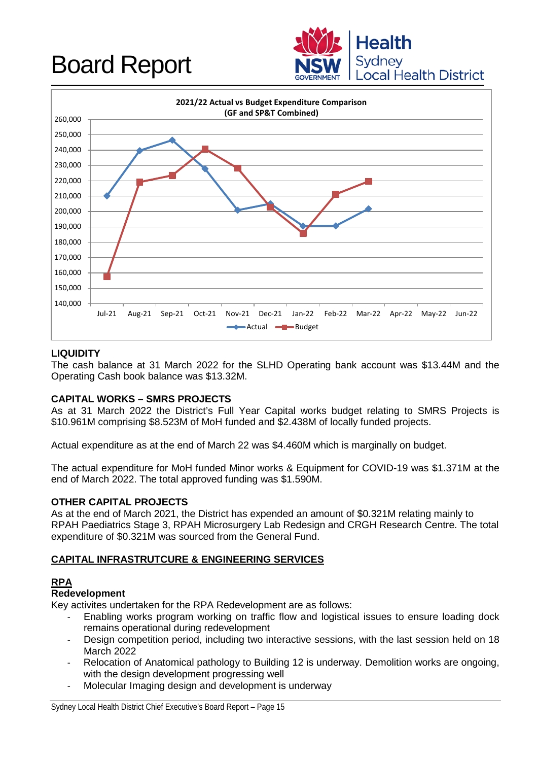



# **LIQUIDITY**

The cash balance at 31 March 2022 for the SLHD Operating bank account was \$13.44M and the Operating Cash book balance was \$13.32M.

# **CAPITAL WORKS – SMRS PROJECTS**

As at 31 March 2022 the District's Full Year Capital works budget relating to SMRS Projects is \$10.961M comprising \$8.523M of MoH funded and \$2.438M of locally funded projects.

Actual expenditure as at the end of March 22 was \$4.460M which is marginally on budget.

The actual expenditure for MoH funded Minor works & Equipment for COVID-19 was \$1.371M at the end of March 2022. The total approved funding was \$1.590M.

# **OTHER CAPITAL PROJECTS**

As at the end of March 2021, the District has expended an amount of \$0.321M relating mainly to RPAH Paediatrics Stage 3, RPAH Microsurgery Lab Redesign and CRGH Research Centre. The total expenditure of \$0.321M was sourced from the General Fund.

# **CAPITAL INFRASTRUTCURE & ENGINEERING SERVICES**

# **RPA**

# **Redevelopment**

Key activites undertaken for the RPA Redevelopment are as follows:

- Enabling works program working on traffic flow and logistical issues to ensure loading dock remains operational during redevelopment
- Design competition period, including two interactive sessions, with the last session held on 18 March 2022
- Relocation of Anatomical pathology to Building 12 is underway. Demolition works are ongoing, with the design development progressing well
- Molecular Imaging design and development is underway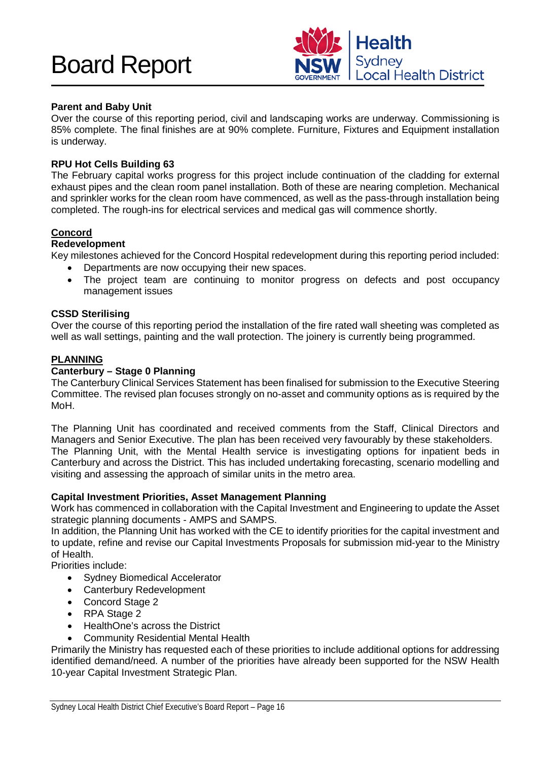

# **Parent and Baby Unit**

Over the course of this reporting period, civil and landscaping works are underway. Commissioning is 85% complete. The final finishes are at 90% complete. Furniture, Fixtures and Equipment installation is underway.

# **RPU Hot Cells Building 63**

The February capital works progress for this project include continuation of the cladding for external exhaust pipes and the clean room panel installation. Both of these are nearing completion. Mechanical and sprinkler works for the clean room have commenced, as well as the pass-through installation being completed. The rough-ins for electrical services and medical gas will commence shortly.

# **Concord**

# **Redevelopment**

Key milestones achieved for the Concord Hospital redevelopment during this reporting period included:

- Departments are now occupying their new spaces.
- The project team are continuing to monitor progress on defects and post occupancy management issues

# **CSSD Sterilising**

Over the course of this reporting period the installation of the fire rated wall sheeting was completed as well as wall settings, painting and the wall protection. The joinery is currently being programmed.

# **PLANNING**

# **Canterbury – Stage 0 Planning**

The Canterbury Clinical Services Statement has been finalised for submission to the Executive Steering Committee. The revised plan focuses strongly on no-asset and community options as is required by the MoH.

The Planning Unit has coordinated and received comments from the Staff, Clinical Directors and Managers and Senior Executive. The plan has been received very favourably by these stakeholders. The Planning Unit, with the Mental Health service is investigating options for inpatient beds in Canterbury and across the District. This has included undertaking forecasting, scenario modelling and visiting and assessing the approach of similar units in the metro area.

# **Capital Investment Priorities, Asset Management Planning**

Work has commenced in collaboration with the Capital Investment and Engineering to update the Asset strategic planning documents - AMPS and SAMPS.

In addition, the Planning Unit has worked with the CE to identify priorities for the capital investment and to update, refine and revise our Capital Investments Proposals for submission mid-year to the Ministry of Health.

Priorities include:

- Sydney Biomedical Accelerator
- Canterbury Redevelopment
- Concord Stage 2
- RPA Stage 2
- HealthOne's across the District
- Community Residential Mental Health

Primarily the Ministry has requested each of these priorities to include additional options for addressing identified demand/need. A number of the priorities have already been supported for the NSW Health 10-year Capital Investment Strategic Plan.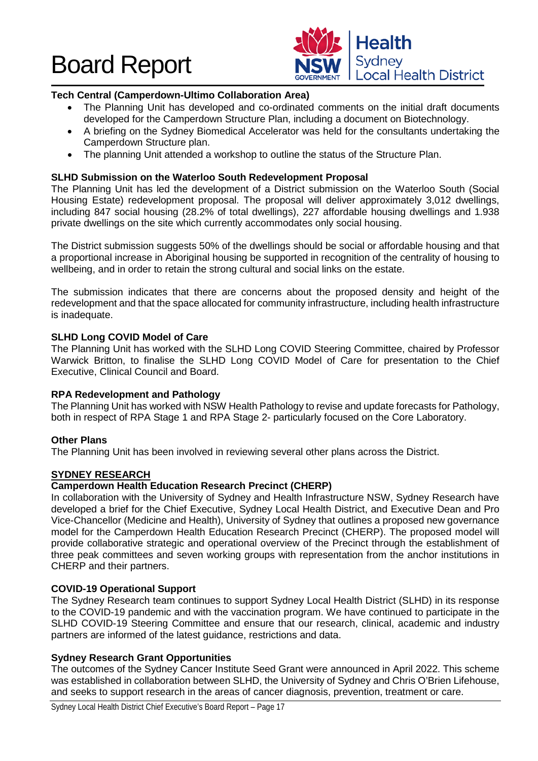

# **Tech Central (Camperdown-Ultimo Collaboration Area)**

- The Planning Unit has developed and co-ordinated comments on the initial draft documents developed for the Camperdown Structure Plan, including a document on Biotechnology.
- A briefing on the Sydney Biomedical Accelerator was held for the consultants undertaking the Camperdown Structure plan.
- The planning Unit attended a workshop to outline the status of the Structure Plan.

# **SLHD Submission on the Waterloo South Redevelopment Proposal**

The Planning Unit has led the development of a District submission on the Waterloo South (Social Housing Estate) redevelopment proposal. The proposal will deliver approximately 3,012 dwellings, including 847 social housing (28.2% of total dwellings), 227 affordable housing dwellings and 1.938 private dwellings on the site which currently accommodates only social housing.

The District submission suggests 50% of the dwellings should be social or affordable housing and that a proportional increase in Aboriginal housing be supported in recognition of the centrality of housing to wellbeing, and in order to retain the strong cultural and social links on the estate.

The submission indicates that there are concerns about the proposed density and height of the redevelopment and that the space allocated for community infrastructure, including health infrastructure is inadequate.

# **SLHD Long COVID Model of Care**

The Planning Unit has worked with the SLHD Long COVID Steering Committee, chaired by Professor Warwick Britton, to finalise the SLHD Long COVID Model of Care for presentation to the Chief Executive, Clinical Council and Board.

# **RPA Redevelopment and Pathology**

The Planning Unit has worked with NSW Health Pathology to revise and update forecasts for Pathology, both in respect of RPA Stage 1 and RPA Stage 2- particularly focused on the Core Laboratory.

# **Other Plans**

The Planning Unit has been involved in reviewing several other plans across the District.

# **SYDNEY RESEARCH**

# **Camperdown Health Education Research Precinct (CHERP)**

In collaboration with the University of Sydney and Health Infrastructure NSW, Sydney Research have developed a brief for the Chief Executive, Sydney Local Health District, and Executive Dean and Pro Vice-Chancellor (Medicine and Health), University of Sydney that outlines a proposed new governance model for the Camperdown Health Education Research Precinct (CHERP). The proposed model will provide collaborative strategic and operational overview of the Precinct through the establishment of three peak committees and seven working groups with representation from the anchor institutions in CHERP and their partners.

# **COVID-19 Operational Support**

The Sydney Research team continues to support Sydney Local Health District (SLHD) in its response to the COVID-19 pandemic and with the vaccination program. We have continued to participate in the SLHD COVID-19 Steering Committee and ensure that our research, clinical, academic and industry partners are informed of the latest guidance, restrictions and data.

# **Sydney Research Grant Opportunities**

The outcomes of the Sydney Cancer Institute Seed Grant were announced in April 2022. This scheme was established in collaboration between SLHD, the University of Sydney and Chris O'Brien Lifehouse, and seeks to support research in the areas of cancer diagnosis, prevention, treatment or care.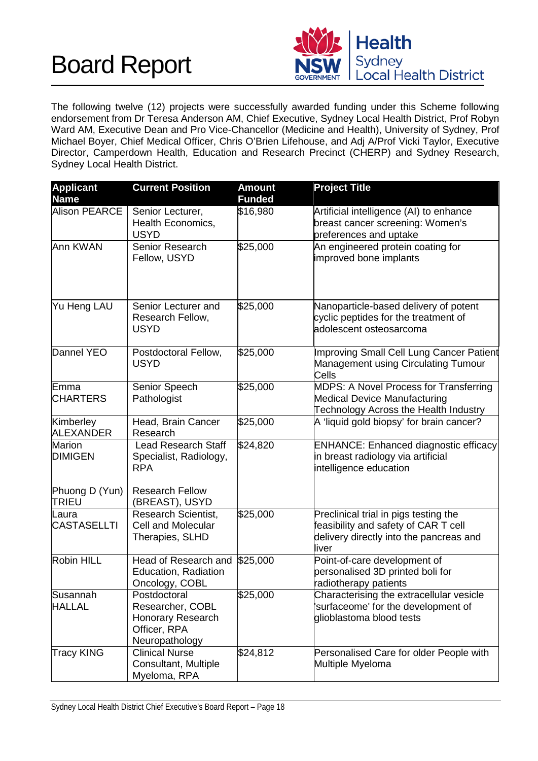

The following twelve (12) projects were successfully awarded funding under this Scheme following endorsement from Dr Teresa Anderson AM, Chief Executive, Sydney Local Health District, Prof Robyn Ward AM, Executive Dean and Pro Vice-Chancellor (Medicine and Health), University of Sydney, Prof Michael Boyer, Chief Medical Officer, Chris O'Brien Lifehouse, and Adj A/Prof Vicki Taylor, Executive Director, Camperdown Health, Education and Research Precinct (CHERP) and Sydney Research, Sydney Local Health District.

| <b>Applicant</b><br><b>Name</b> | <b>Current Position</b>                                                                 | <b>Amount</b><br><b>Funded</b> | <b>Project Title</b>                                                                                                              |
|---------------------------------|-----------------------------------------------------------------------------------------|--------------------------------|-----------------------------------------------------------------------------------------------------------------------------------|
| <b>Alison PEARCE</b>            | Senior Lecturer,<br>Health Economics,<br><b>USYD</b>                                    | \$16,980                       | Artificial intelligence (AI) to enhance<br>breast cancer screening: Women's<br>preferences and uptake                             |
| Ann KWAN                        | Senior Research<br>Fellow, USYD                                                         | \$25,000                       | An engineered protein coating for<br>improved bone implants                                                                       |
| Yu Heng LAU                     | Senior Lecturer and<br>Research Fellow,<br><b>USYD</b>                                  | \$25,000                       | Nanoparticle-based delivery of potent<br>cyclic peptides for the treatment of<br>adolescent osteosarcoma                          |
| Dannel YEO                      | Postdoctoral Fellow,<br><b>USYD</b>                                                     | \$25,000                       | <b>Improving Small Cell Lung Cancer Patient</b><br><b>Management using Circulating Tumour</b><br>Cells                            |
| Emma<br><b>CHARTERS</b>         | Senior Speech<br>Pathologist                                                            | \$25,000                       | MDPS: A Novel Process for Transferring<br><b>Medical Device Manufacturing</b><br>Technology Across the Health Industry            |
| Kimberley<br>ALEXANDER          | Head, Brain Cancer<br>Research                                                          | \$25,000                       | A 'liquid gold biopsy' for brain cancer?                                                                                          |
| <b>Marion</b><br><b>DIMIGEN</b> | <b>Lead Research Staff</b><br>Specialist, Radiology,<br><b>RPA</b>                      | \$24,820                       | <b>ENHANCE: Enhanced diagnostic efficacy</b><br>in breast radiology via artificial<br>intelligence education                      |
| Phuong D (Yun)<br><b>TRIEU</b>  | <b>Research Fellow</b><br>(BREAST), USYD                                                |                                |                                                                                                                                   |
| Laura<br><b>CASTASELLTI</b>     | <b>Research Scientist,</b><br><b>Cell and Molecular</b><br>Therapies, SLHD              | \$25,000                       | Preclinical trial in pigs testing the<br>feasibility and safety of CAR T cell<br>delivery directly into the pancreas and<br>liver |
| Robin HILL                      | Head of Research and<br>Education, Radiation<br>Oncology, COBL                          | \$25,000                       | Point-of-care development of<br>personalised 3D printed boli for<br>radiotherapy patients                                         |
| Susannah<br><b>HALLAL</b>       | Postdoctoral<br>Researcher, COBL<br>Honorary Research<br>Officer, RPA<br>Neuropathology | \$25,000                       | Characterising the extracellular vesicle<br>'surfaceome' for the development of<br>glioblastoma blood tests                       |
| <b>Tracy KING</b>               | <b>Clinical Nurse</b><br>Consultant, Multiple<br>Myeloma, RPA                           | \$24,812                       | Personalised Care for older People with<br>Multiple Myeloma                                                                       |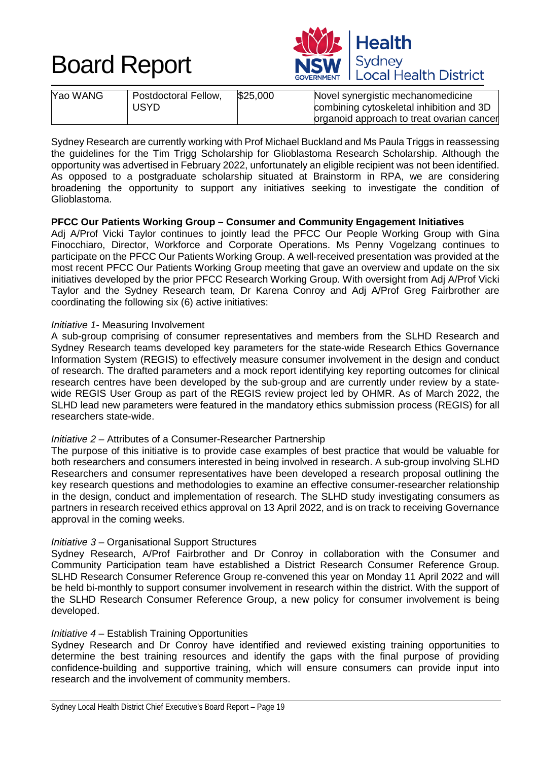



| Yao WANG | Postdoctoral Fellow, | \$25,000 | Novel synergistic mechanomedicine         |
|----------|----------------------|----------|-------------------------------------------|
|          | <b>USYD</b>          |          | combining cytoskeletal inhibition and 3D  |
|          |                      |          | organoid approach to treat ovarian cancer |

Sydney Research are currently working with Prof Michael Buckland and Ms Paula Triggs in reassessing the guidelines for the Tim Trigg Scholarship for Glioblastoma Research Scholarship. Although the opportunity was advertised in February 2022, unfortunately an eligible recipient was not been identified. As opposed to a postgraduate scholarship situated at Brainstorm in RPA, we are considering broadening the opportunity to support any initiatives seeking to investigate the condition of Glioblastoma.

# **PFCC Our Patients Working Group – Consumer and Community Engagement Initiatives**

Adj A/Prof Vicki Taylor continues to jointly lead the PFCC Our People Working Group with Gina Finocchiaro, Director, Workforce and Corporate Operations. Ms Penny Vogelzang continues to participate on the PFCC Our Patients Working Group. A well-received presentation was provided at the most recent PFCC Our Patients Working Group meeting that gave an overview and update on the six initiatives developed by the prior PFCC Research Working Group. With oversight from Adj A/Prof Vicki Taylor and the Sydney Research team, Dr Karena Conroy and Adj A/Prof Greg Fairbrother are coordinating the following six (6) active initiatives:

#### *Initiative 1-* Measuring Involvement

A sub-group comprising of consumer representatives and members from the SLHD Research and Sydney Research teams developed key parameters for the state-wide Research Ethics Governance Information System (REGIS) to effectively measure consumer involvement in the design and conduct of research. The drafted parameters and a mock report identifying key reporting outcomes for clinical research centres have been developed by the sub-group and are currently under review by a statewide REGIS User Group as part of the REGIS review project led by OHMR. As of March 2022, the SLHD lead new parameters were featured in the mandatory ethics submission process (REGIS) for all researchers state-wide.

#### *Initiative 2 –* Attributes of a Consumer-Researcher Partnership

The purpose of this initiative is to provide case examples of best practice that would be valuable for both researchers and consumers interested in being involved in research. A sub-group involving SLHD Researchers and consumer representatives have been developed a research proposal outlining the key research questions and methodologies to examine an effective consumer-researcher relationship in the design, conduct and implementation of research. The SLHD study investigating consumers as partners in research received ethics approval on 13 April 2022, and is on track to receiving Governance approval in the coming weeks.

#### *Initiative 3 –* Organisational Support Structures

Sydney Research, A/Prof Fairbrother and Dr Conroy in collaboration with the Consumer and Community Participation team have established a District Research Consumer Reference Group. SLHD Research Consumer Reference Group re-convened this year on Monday 11 April 2022 and will be held bi-monthly to support consumer involvement in research within the district. With the support of the SLHD Research Consumer Reference Group, a new policy for consumer involvement is being developed.

#### *Initiative 4 –* Establish Training Opportunities

Sydney Research and Dr Conroy have identified and reviewed existing training opportunities to determine the best training resources and identify the gaps with the final purpose of providing confidence-building and supportive training, which will ensure consumers can provide input into research and the involvement of community members.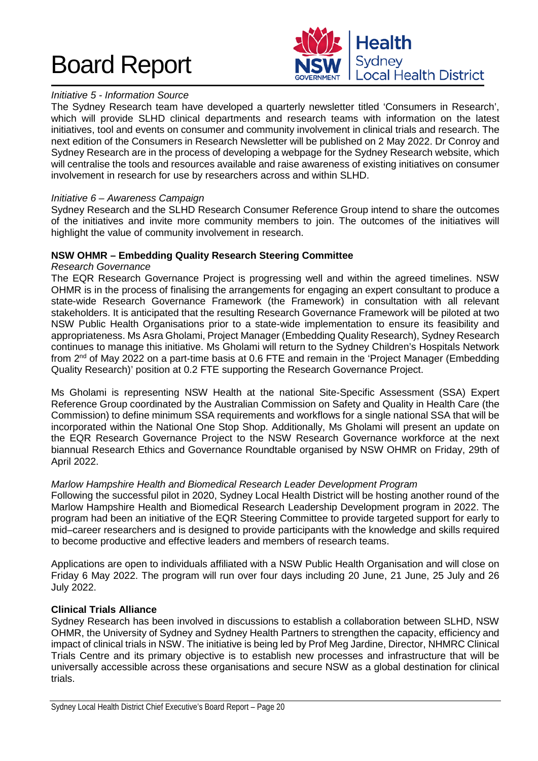

# *Initiative 5 - Information Source*

The Sydney Research team have developed a quarterly newsletter titled 'Consumers in Research', which will provide SLHD clinical departments and research teams with information on the latest initiatives, tool and events on consumer and community involvement in clinical trials and research. The next edition of the Consumers in Research Newsletter will be published on 2 May 2022. Dr Conroy and Sydney Research are in the process of developing a webpage for the Sydney Research website, which will centralise the tools and resources available and raise awareness of existing initiatives on consumer involvement in research for use by researchers across and within SLHD.

#### *Initiative 6 – Awareness Campaign*

Sydney Research and the SLHD Research Consumer Reference Group intend to share the outcomes of the initiatives and invite more community members to join. The outcomes of the initiatives will highlight the value of community involvement in research.

# **NSW OHMR – Embedding Quality Research Steering Committee**

#### *Research Governance*

The EQR Research Governance Project is progressing well and within the agreed timelines. NSW OHMR is in the process of finalising the arrangements for engaging an expert consultant to produce a state-wide Research Governance Framework (the Framework) in consultation with all relevant stakeholders. It is anticipated that the resulting Research Governance Framework will be piloted at two NSW Public Health Organisations prior to a state-wide implementation to ensure its feasibility and appropriateness. Ms Asra Gholami, Project Manager (Embedding Quality Research), Sydney Research continues to manage this initiative. Ms Gholami will return to the Sydney Children's Hospitals Network from 2<sup>nd</sup> of May 2022 on a part-time basis at 0.6 FTE and remain in the 'Project Manager (Embedding Quality Research)' position at 0.2 FTE supporting the Research Governance Project.

Ms Gholami is representing NSW Health at the national Site-Specific Assessment (SSA) Expert Reference Group coordinated by the Australian Commission on Safety and Quality in Health Care (the Commission) to define minimum SSA requirements and workflows for a single national SSA that will be incorporated within the National One Stop Shop. Additionally, Ms Gholami will present an update on the EQR Research Governance Project to the NSW Research Governance workforce at the next biannual Research Ethics and Governance Roundtable organised by NSW OHMR on Friday, 29th of April 2022.

#### *Marlow Hampshire Health and Biomedical Research Leader Development Program*

Following the successful pilot in 2020, Sydney Local Health District will be hosting another round of the Marlow Hampshire Health and Biomedical Research Leadership Development program in 2022. The program had been an initiative of the EQR Steering Committee to provide targeted support for early to mid–career researchers and is designed to provide participants with the knowledge and skills required to become productive and effective leaders and members of research teams.

Applications are open to individuals affiliated with a NSW Public Health Organisation and will close on Friday 6 May 2022. The program will run over four days including 20 June, 21 June, 25 July and 26 July 2022.

#### **Clinical Trials Alliance**

Sydney Research has been involved in discussions to establish a collaboration between SLHD, NSW OHMR, the University of Sydney and Sydney Health Partners to strengthen the capacity, efficiency and impact of clinical trials in NSW. The initiative is being led by Prof Meg Jardine, Director, NHMRC Clinical Trials Centre and its primary objective is to establish new processes and infrastructure that will be universally accessible across these organisations and secure NSW as a global destination for clinical trials.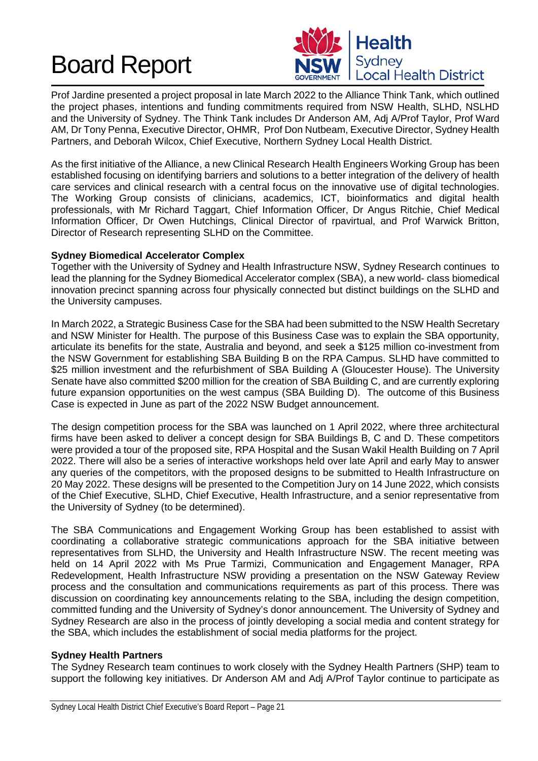

Prof Jardine presented a project proposal in late March 2022 to the Alliance Think Tank, which outlined the project phases, intentions and funding commitments required from NSW Health, SLHD, NSLHD and the University of Sydney. The Think Tank includes Dr Anderson AM, Adj A/Prof Taylor, Prof Ward AM, Dr Tony Penna, Executive Director, OHMR, Prof Don Nutbeam, Executive Director, Sydney Health Partners, and Deborah Wilcox, Chief Executive, Northern Sydney Local Health District.

As the first initiative of the Alliance, a new Clinical Research Health Engineers Working Group has been established focusing on identifying barriers and solutions to a better integration of the delivery of health care services and clinical research with a central focus on the innovative use of digital technologies. The Working Group consists of clinicians, academics, ICT, bioinformatics and digital health professionals, with Mr Richard Taggart, Chief Information Officer, Dr Angus Ritchie, Chief Medical Information Officer, Dr Owen Hutchings, Clinical Director of rpavirtual, and Prof Warwick Britton, Director of Research representing SLHD on the Committee.

# **Sydney Biomedical Accelerator Complex**

Together with the University of Sydney and Health Infrastructure NSW, Sydney Research continues to lead the planning for the Sydney Biomedical Accelerator complex (SBA), a new world- class biomedical innovation precinct spanning across four physically connected but distinct buildings on the SLHD and the University campuses.

In March 2022, a Strategic Business Case for the SBA had been submitted to the NSW Health Secretary and NSW Minister for Health. The purpose of this Business Case was to explain the SBA opportunity, articulate its benefits for the state, Australia and beyond, and seek a \$125 million co-investment from the NSW Government for establishing SBA Building B on the RPA Campus. SLHD have committed to \$25 million investment and the refurbishment of SBA Building A (Gloucester House). The University Senate have also committed \$200 million for the creation of SBA Building C, and are currently exploring future expansion opportunities on the west campus (SBA Building D). The outcome of this Business Case is expected in June as part of the 2022 NSW Budget announcement.

The design competition process for the SBA was launched on 1 April 2022, where three architectural firms have been asked to deliver a concept design for SBA Buildings B, C and D. These competitors were provided a tour of the proposed site, RPA Hospital and the Susan Wakil Health Building on 7 April 2022. There will also be a series of interactive workshops held over late April and early May to answer any queries of the competitors, with the proposed designs to be submitted to Health Infrastructure on 20 May 2022. These designs will be presented to the Competition Jury on 14 June 2022, which consists of the Chief Executive, SLHD, Chief Executive, Health Infrastructure, and a senior representative from the University of Sydney (to be determined).

The SBA Communications and Engagement Working Group has been established to assist with coordinating a collaborative strategic communications approach for the SBA initiative between representatives from SLHD, the University and Health Infrastructure NSW. The recent meeting was held on 14 April 2022 with Ms Prue Tarmizi, Communication and Engagement Manager, RPA Redevelopment, Health Infrastructure NSW providing a presentation on the NSW Gateway Review process and the consultation and communications requirements as part of this process. There was discussion on coordinating key announcements relating to the SBA, including the design competition, committed funding and the University of Sydney's donor announcement. The University of Sydney and Sydney Research are also in the process of jointly developing a social media and content strategy for the SBA, which includes the establishment of social media platforms for the project.

# **Sydney Health Partners**

The Sydney Research team continues to work closely with the Sydney Health Partners (SHP) team to support the following key initiatives. Dr Anderson AM and Adj A/Prof Taylor continue to participate as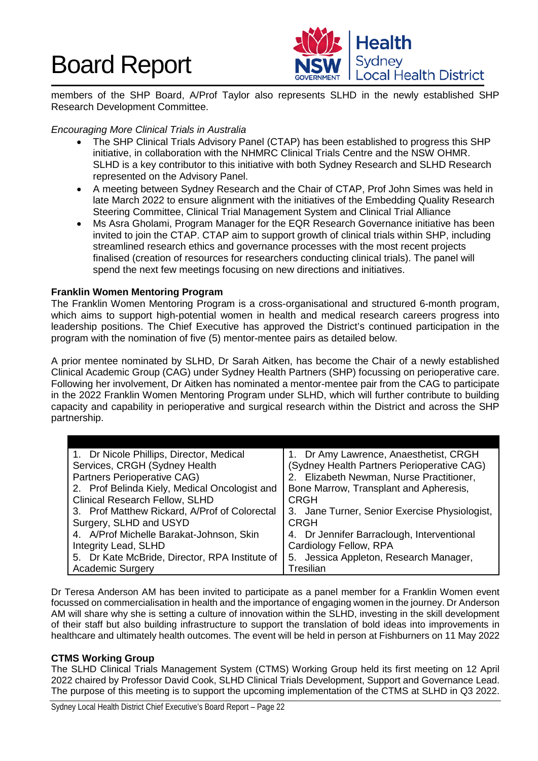

members of the SHP Board, A/Prof Taylor also represents SLHD in the newly established SHP Research Development Committee.

# *Encouraging More Clinical Trials in Australia*

- The SHP Clinical Trials Advisory Panel (CTAP) has been established to progress this SHP initiative, in collaboration with the NHMRC Clinical Trials Centre and the NSW OHMR. SLHD is a key contributor to this initiative with both Sydney Research and SLHD Research represented on the Advisory Panel.
- A meeting between Sydney Research and the Chair of CTAP, Prof John Simes was held in late March 2022 to ensure alignment with the initiatives of the Embedding Quality Research Steering Committee, Clinical Trial Management System and Clinical Trial Alliance
- Ms Asra Gholami, Program Manager for the EQR Research Governance initiative has been invited to join the CTAP. CTAP aim to support growth of clinical trials within SHP, including streamlined research ethics and governance processes with the most recent projects finalised (creation of resources for researchers conducting clinical trials). The panel will spend the next few meetings focusing on new directions and initiatives.

# **Franklin Women Mentoring Program**

The Franklin Women Mentoring Program is a cross-organisational and structured 6-month program, which aims to support high-potential women in health and medical research careers progress into leadership positions. The Chief Executive has approved the District's continued participation in the program with the nomination of five (5) mentor-mentee pairs as detailed below.

A prior mentee nominated by SLHD, Dr Sarah Aitken, has become the Chair of a newly established Clinical Academic Group (CAG) under Sydney Health Partners (SHP) focussing on perioperative care. Following her involvement, Dr Aitken has nominated a mentor-mentee pair from the CAG to participate in the 2022 Franklin Women Mentoring Program under SLHD, which will further contribute to building capacity and capability in perioperative and surgical research within the District and across the SHP partnership.

| 1. Dr Nicole Phillips, Director, Medical       | 1. Dr Amy Lawrence, Anaesthetist, CRGH        |
|------------------------------------------------|-----------------------------------------------|
| Services, CRGH (Sydney Health                  | (Sydney Health Partners Perioperative CAG)    |
| Partners Perioperative CAG)                    | 2. Elizabeth Newman, Nurse Practitioner,      |
| 2. Prof Belinda Kiely, Medical Oncologist and  | Bone Marrow, Transplant and Apheresis,        |
| <b>Clinical Research Fellow, SLHD</b>          | <b>CRGH</b>                                   |
| 3. Prof Matthew Rickard, A/Prof of Colorectal  | 3. Jane Turner, Senior Exercise Physiologist, |
| Surgery, SLHD and USYD                         | <b>CRGH</b>                                   |
| 4. A/Prof Michelle Barakat-Johnson, Skin       | 4. Dr Jennifer Barraclough, Interventional    |
| Integrity Lead, SLHD                           | Cardiology Fellow, RPA                        |
| 5. Dr Kate McBride, Director, RPA Institute of | 5. Jessica Appleton, Research Manager,        |
| <b>Academic Surgery</b>                        | Tresilian                                     |

Dr Teresa Anderson AM has been invited to participate as a panel member for a Franklin Women event focussed on commercialisation in health and the importance of engaging women in the journey. Dr Anderson AM will share why she is setting a culture of innovation within the SLHD, investing in the skill development of their staff but also building infrastructure to support the translation of bold ideas into improvements in healthcare and ultimately health outcomes. The event will be held in person at Fishburners on 11 May 2022

# **CTMS Working Group**

The SLHD Clinical Trials Management System (CTMS) Working Group held its first meeting on 12 April 2022 chaired by Professor David Cook, SLHD Clinical Trials Development, Support and Governance Lead. The purpose of this meeting is to support the upcoming implementation of the CTMS at SLHD in Q3 2022.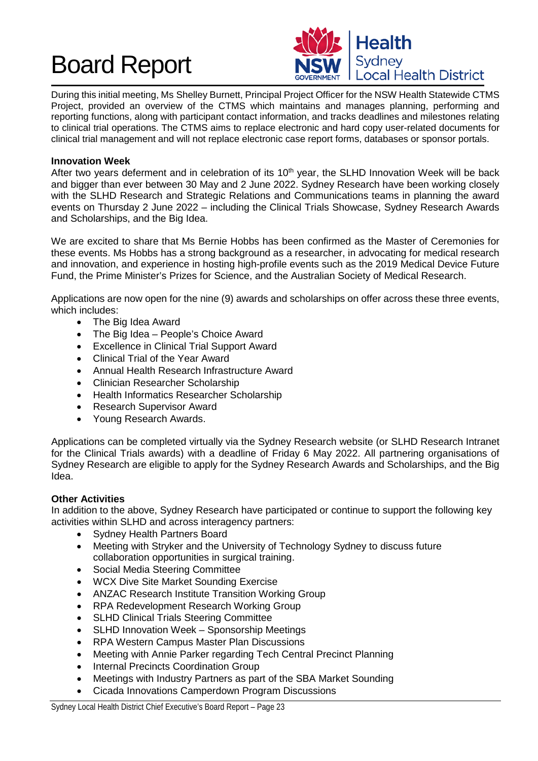

During this initial meeting, Ms Shelley Burnett, Principal Project Officer for the NSW Health Statewide CTMS Project, provided an overview of the CTMS which maintains and manages planning, performing and reporting functions, along with participant contact information, and tracks deadlines and milestones relating to clinical trial operations. The CTMS aims to replace electronic and hard copy user-related documents for clinical trial management and will not replace electronic case report forms, databases or sponsor portals.

# **Innovation Week**

After two years deferment and in celebration of its 10<sup>th</sup> year, the SLHD Innovation Week will be back and bigger than ever between 30 May and 2 June 2022. Sydney Research have been working closely with the SLHD Research and Strategic Relations and Communications teams in planning the award events on Thursday 2 June 2022 – including the Clinical Trials Showcase, Sydney Research Awards and Scholarships, and the Big Idea.

We are excited to share that Ms Bernie Hobbs has been confirmed as the Master of Ceremonies for these events. Ms Hobbs has a strong background as a researcher, in advocating for medical research and innovation, and experience in hosting high-profile events such as the 2019 Medical Device Future Fund, the Prime Minister's Prizes for Science, and the Australian Society of Medical Research.

Applications are now open for the nine (9) awards and scholarships on offer across these three events, which includes:

- The Big Idea Award
- The Big Idea People's Choice Award
- Excellence in Clinical Trial Support Award
- Clinical Trial of the Year Award
- Annual Health Research Infrastructure Award
- Clinician Researcher Scholarship
- Health Informatics Researcher Scholarship
- Research Supervisor Award
- Young Research Awards.

Applications can be completed virtually via the Sydney Research website (or SLHD Research Intranet for the Clinical Trials awards) with a deadline of Friday 6 May 2022. All partnering organisations of Sydney Research are eligible to apply for the Sydney Research Awards and Scholarships, and the Big Idea.

# **Other Activities**

In addition to the above, Sydney Research have participated or continue to support the following key activities within SLHD and across interagency partners:

- Sydney Health Partners Board
- Meeting with Stryker and the University of Technology Sydney to discuss future collaboration opportunities in surgical training.
- Social Media Steering Committee
- WCX Dive Site Market Sounding Exercise
- ANZAC Research Institute Transition Working Group
- RPA Redevelopment Research Working Group
- **SLHD Clinical Trials Steering Committee**
- SLHD Innovation Week Sponsorship Meetings
- RPA Western Campus Master Plan Discussions
- Meeting with Annie Parker regarding Tech Central Precinct Planning
- **Internal Precincts Coordination Group**
- Meetings with Industry Partners as part of the SBA Market Sounding
- Cicada Innovations Camperdown Program Discussions